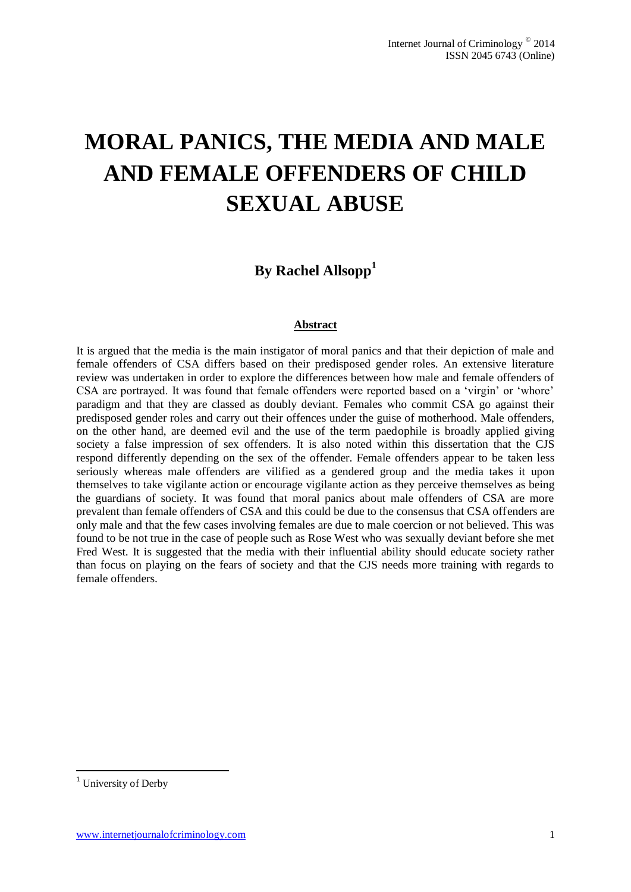# **MORAL PANICS, THE MEDIA AND MALE AND FEMALE OFFENDERS OF CHILD SEXUAL ABUSE**

# **By Rachel Allsopp<sup>1</sup>**

#### **Abstract**

It is argued that the media is the main instigator of moral panics and that their depiction of male and female offenders of CSA differs based on their predisposed gender roles. An extensive literature review was undertaken in order to explore the differences between how male and female offenders of CSA are portrayed. It was found that female offenders were reported based on a 'virgin' or 'whore' paradigm and that they are classed as doubly deviant. Females who commit CSA go against their predisposed gender roles and carry out their offences under the guise of motherhood. Male offenders, on the other hand, are deemed evil and the use of the term paedophile is broadly applied giving society a false impression of sex offenders. It is also noted within this dissertation that the CJS respond differently depending on the sex of the offender. Female offenders appear to be taken less seriously whereas male offenders are vilified as a gendered group and the media takes it upon themselves to take vigilante action or encourage vigilante action as they perceive themselves as being the guardians of society. It was found that moral panics about male offenders of CSA are more prevalent than female offenders of CSA and this could be due to the consensus that CSA offenders are only male and that the few cases involving females are due to male coercion or not believed. This was found to be not true in the case of people such as Rose West who was sexually deviant before she met Fred West. It is suggested that the media with their influential ability should educate society rather than focus on playing on the fears of society and that the CJS needs more training with regards to female offenders.

1

<sup>&</sup>lt;sup>1</sup> University of Derby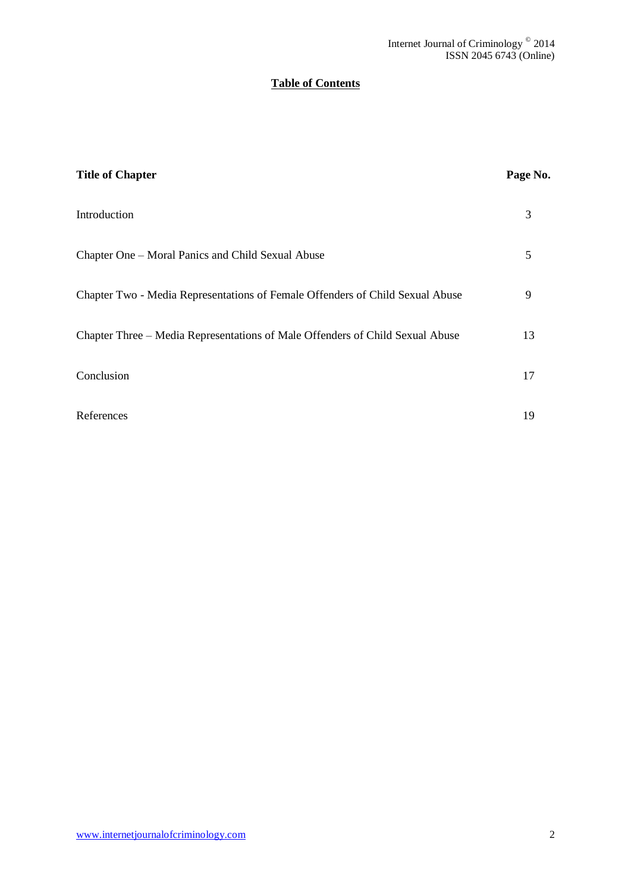# **Table of Contents**

| <b>Title of Chapter</b>                                                       | Page No. |
|-------------------------------------------------------------------------------|----------|
| Introduction                                                                  | 3        |
| Chapter One – Moral Panics and Child Sexual Abuse                             | 5        |
| Chapter Two - Media Representations of Female Offenders of Child Sexual Abuse | 9        |
| Chapter Three – Media Representations of Male Offenders of Child Sexual Abuse | 13       |
| Conclusion                                                                    | 17       |
| References                                                                    | 19       |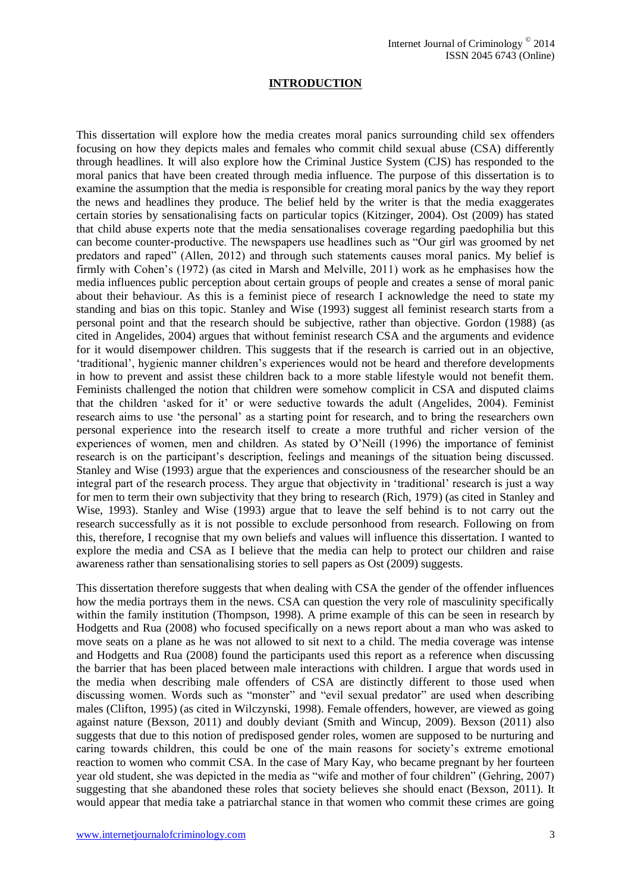## **INTRODUCTION**

This dissertation will explore how the media creates moral panics surrounding child sex offenders focusing on how they depicts males and females who commit child sexual abuse (CSA) differently through headlines. It will also explore how the Criminal Justice System (CJS) has responded to the moral panics that have been created through media influence. The purpose of this dissertation is to examine the assumption that the media is responsible for creating moral panics by the way they report the news and headlines they produce. The belief held by the writer is that the media exaggerates certain stories by sensationalising facts on particular topics (Kitzinger, 2004). Ost (2009) has stated that child abuse experts note that the media sensationalises coverage regarding paedophilia but this can become counter-productive. The newspapers use headlines such as "Our girl was groomed by net predators and raped" (Allen, 2012) and through such statements causes moral panics. My belief is firmly with Cohen's (1972) (as cited in Marsh and Melville, 2011) work as he emphasises how the media influences public perception about certain groups of people and creates a sense of moral panic about their behaviour. As this is a feminist piece of research I acknowledge the need to state my standing and bias on this topic. Stanley and Wise (1993) suggest all feminist research starts from a personal point and that the research should be subjective, rather than objective. Gordon (1988) (as cited in Angelides, 2004) argues that without feminist research CSA and the arguments and evidence for it would disempower children. This suggests that if the research is carried out in an objective, 'traditional', hygienic manner children's experiences would not be heard and therefore developments in how to prevent and assist these children back to a more stable lifestyle would not benefit them. Feminists challenged the notion that children were somehow complicit in CSA and disputed claims that the children 'asked for it' or were seductive towards the adult (Angelides, 2004). Feminist research aims to use 'the personal' as a starting point for research, and to bring the researchers own personal experience into the research itself to create a more truthful and richer version of the experiences of women, men and children. As stated by O'Neill (1996) the importance of feminist research is on the participant's description, feelings and meanings of the situation being discussed. Stanley and Wise (1993) argue that the experiences and consciousness of the researcher should be an integral part of the research process. They argue that objectivity in 'traditional' research is just a way for men to term their own subjectivity that they bring to research (Rich, 1979) (as cited in Stanley and Wise, 1993). Stanley and Wise (1993) argue that to leave the self behind is to not carry out the research successfully as it is not possible to exclude personhood from research. Following on from this, therefore, I recognise that my own beliefs and values will influence this dissertation. I wanted to explore the media and CSA as I believe that the media can help to protect our children and raise awareness rather than sensationalising stories to sell papers as Ost (2009) suggests.

This dissertation therefore suggests that when dealing with CSA the gender of the offender influences how the media portrays them in the news. CSA can question the very role of masculinity specifically within the family institution (Thompson, 1998). A prime example of this can be seen in research by Hodgetts and Rua (2008) who focused specifically on a news report about a man who was asked to move seats on a plane as he was not allowed to sit next to a child. The media coverage was intense and Hodgetts and Rua (2008) found the participants used this report as a reference when discussing the barrier that has been placed between male interactions with children. I argue that words used in the media when describing male offenders of CSA are distinctly different to those used when discussing women. Words such as "monster" and "evil sexual predator" are used when describing males (Clifton, 1995) (as cited in Wilczynski, 1998). Female offenders, however, are viewed as going against nature (Bexson, 2011) and doubly deviant (Smith and Wincup, 2009). Bexson (2011) also suggests that due to this notion of predisposed gender roles, women are supposed to be nurturing and caring towards children, this could be one of the main reasons for society's extreme emotional reaction to women who commit CSA. In the case of Mary Kay, who became pregnant by her fourteen year old student, she was depicted in the media as "wife and mother of four children" (Gehring, 2007) suggesting that she abandoned these roles that society believes she should enact (Bexson, 2011). It would appear that media take a patriarchal stance in that women who commit these crimes are going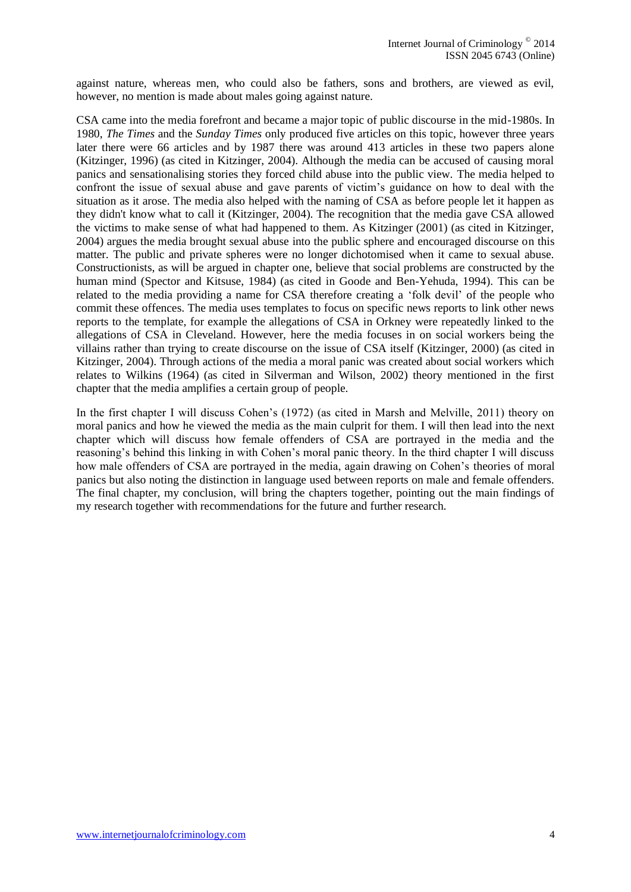against nature, whereas men, who could also be fathers, sons and brothers, are viewed as evil, however, no mention is made about males going against nature.

CSA came into the media forefront and became a major topic of public discourse in the mid-1980s. In 1980, *The Times* and the *Sunday Times* only produced five articles on this topic, however three years later there were 66 articles and by 1987 there was around 413 articles in these two papers alone (Kitzinger, 1996) (as cited in Kitzinger, 2004). Although the media can be accused of causing moral panics and sensationalising stories they forced child abuse into the public view. The media helped to confront the issue of sexual abuse and gave parents of victim's guidance on how to deal with the situation as it arose. The media also helped with the naming of CSA as before people let it happen as they didn't know what to call it (Kitzinger, 2004). The recognition that the media gave CSA allowed the victims to make sense of what had happened to them. As Kitzinger (2001) (as cited in Kitzinger, 2004) argues the media brought sexual abuse into the public sphere and encouraged discourse on this matter. The public and private spheres were no longer dichotomised when it came to sexual abuse. Constructionists, as will be argued in chapter one, believe that social problems are constructed by the human mind (Spector and Kitsuse, 1984) (as cited in Goode and Ben-Yehuda, 1994). This can be related to the media providing a name for CSA therefore creating a 'folk devil' of the people who commit these offences. The media uses templates to focus on specific news reports to link other news reports to the template, for example the allegations of CSA in Orkney were repeatedly linked to the allegations of CSA in Cleveland. However, here the media focuses in on social workers being the villains rather than trying to create discourse on the issue of CSA itself (Kitzinger, 2000) (as cited in Kitzinger, 2004). Through actions of the media a moral panic was created about social workers which relates to Wilkins (1964) (as cited in Silverman and Wilson, 2002) theory mentioned in the first chapter that the media amplifies a certain group of people.

In the first chapter I will discuss Cohen's (1972) (as cited in Marsh and Melville, 2011) theory on moral panics and how he viewed the media as the main culprit for them. I will then lead into the next chapter which will discuss how female offenders of CSA are portrayed in the media and the reasoning's behind this linking in with Cohen's moral panic theory. In the third chapter I will discuss how male offenders of CSA are portrayed in the media, again drawing on Cohen's theories of moral panics but also noting the distinction in language used between reports on male and female offenders. The final chapter, my conclusion, will bring the chapters together, pointing out the main findings of my research together with recommendations for the future and further research.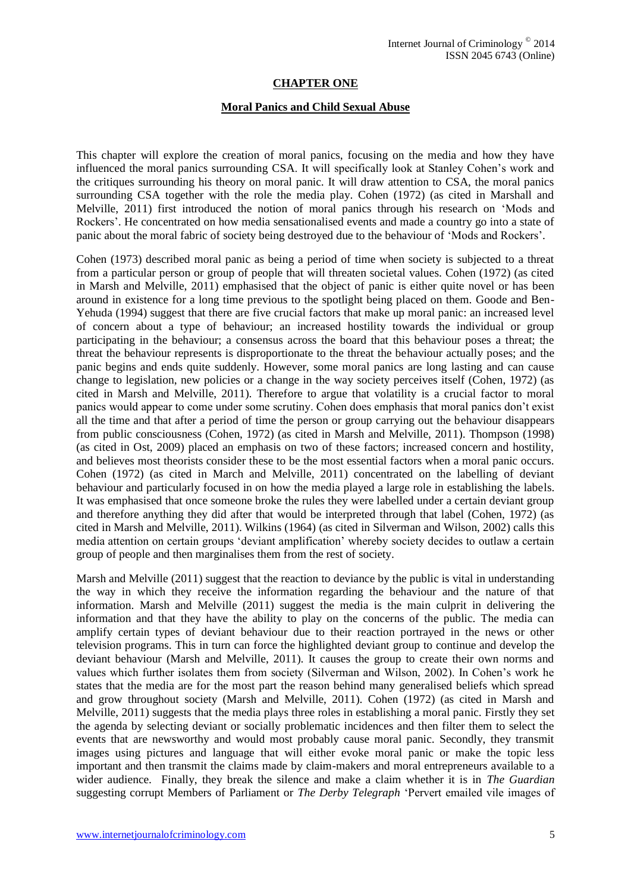## **CHAPTER ONE**

#### **Moral Panics and Child Sexual Abuse**

This chapter will explore the creation of moral panics, focusing on the media and how they have influenced the moral panics surrounding CSA. It will specifically look at Stanley Cohen's work and the critiques surrounding his theory on moral panic. It will draw attention to CSA, the moral panics surrounding CSA together with the role the media play. Cohen (1972) (as cited in Marshall and Melville, 2011) first introduced the notion of moral panics through his research on 'Mods and Rockers'. He concentrated on how media sensationalised events and made a country go into a state of panic about the moral fabric of society being destroyed due to the behaviour of 'Mods and Rockers'.

Cohen (1973) described moral panic as being a period of time when society is subjected to a threat from a particular person or group of people that will threaten societal values. Cohen (1972) (as cited in Marsh and Melville, 2011) emphasised that the object of panic is either quite novel or has been around in existence for a long time previous to the spotlight being placed on them. Goode and Ben-Yehuda (1994) suggest that there are five crucial factors that make up moral panic: an increased level of concern about a type of behaviour; an increased hostility towards the individual or group participating in the behaviour; a consensus across the board that this behaviour poses a threat; the threat the behaviour represents is disproportionate to the threat the behaviour actually poses; and the panic begins and ends quite suddenly. However, some moral panics are long lasting and can cause change to legislation, new policies or a change in the way society perceives itself (Cohen, 1972) (as cited in Marsh and Melville, 2011). Therefore to argue that volatility is a crucial factor to moral panics would appear to come under some scrutiny. Cohen does emphasis that moral panics don't exist all the time and that after a period of time the person or group carrying out the behaviour disappears from public consciousness (Cohen, 1972) (as cited in Marsh and Melville, 2011). Thompson (1998) (as cited in Ost, 2009) placed an emphasis on two of these factors; increased concern and hostility, and believes most theorists consider these to be the most essential factors when a moral panic occurs. Cohen (1972) (as cited in March and Melville, 2011) concentrated on the labelling of deviant behaviour and particularly focused in on how the media played a large role in establishing the labels. It was emphasised that once someone broke the rules they were labelled under a certain deviant group and therefore anything they did after that would be interpreted through that label (Cohen, 1972) (as cited in Marsh and Melville, 2011). Wilkins (1964) (as cited in Silverman and Wilson, 2002) calls this media attention on certain groups 'deviant amplification' whereby society decides to outlaw a certain group of people and then marginalises them from the rest of society.

Marsh and Melville (2011) suggest that the reaction to deviance by the public is vital in understanding the way in which they receive the information regarding the behaviour and the nature of that information. Marsh and Melville (2011) suggest the media is the main culprit in delivering the information and that they have the ability to play on the concerns of the public. The media can amplify certain types of deviant behaviour due to their reaction portrayed in the news or other television programs. This in turn can force the highlighted deviant group to continue and develop the deviant behaviour (Marsh and Melville, 2011). It causes the group to create their own norms and values which further isolates them from society (Silverman and Wilson, 2002). In Cohen's work he states that the media are for the most part the reason behind many generalised beliefs which spread and grow throughout society (Marsh and Melville, 2011). Cohen (1972) (as cited in Marsh and Melville, 2011) suggests that the media plays three roles in establishing a moral panic. Firstly they set the agenda by selecting deviant or socially problematic incidences and then filter them to select the events that are newsworthy and would most probably cause moral panic. Secondly, they transmit images using pictures and language that will either evoke moral panic or make the topic less important and then transmit the claims made by claim-makers and moral entrepreneurs available to a wider audience. Finally, they break the silence and make a claim whether it is in *The Guardian* suggesting corrupt Members of Parliament or *The Derby Telegraph* 'Pervert emailed vile images of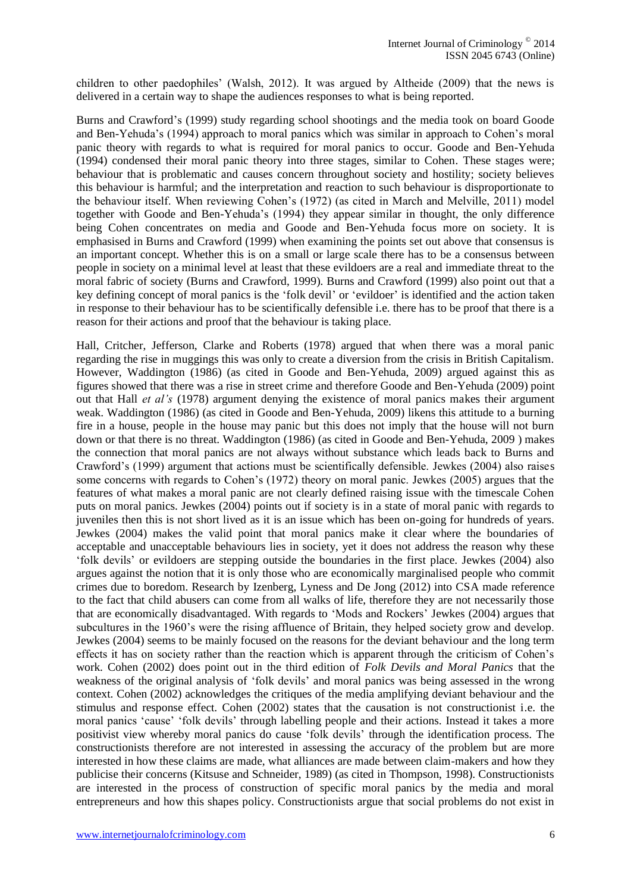children to other paedophiles' (Walsh, 2012). It was argued by Altheide (2009) that the news is delivered in a certain way to shape the audiences responses to what is being reported.

Burns and Crawford's (1999) study regarding school shootings and the media took on board Goode and Ben-Yehuda's (1994) approach to moral panics which was similar in approach to Cohen's moral panic theory with regards to what is required for moral panics to occur. Goode and Ben-Yehuda (1994) condensed their moral panic theory into three stages, similar to Cohen. These stages were; behaviour that is problematic and causes concern throughout society and hostility; society believes this behaviour is harmful; and the interpretation and reaction to such behaviour is disproportionate to the behaviour itself. When reviewing Cohen's (1972) (as cited in March and Melville, 2011) model together with Goode and Ben-Yehuda's (1994) they appear similar in thought, the only difference being Cohen concentrates on media and Goode and Ben-Yehuda focus more on society. It is emphasised in Burns and Crawford (1999) when examining the points set out above that consensus is an important concept. Whether this is on a small or large scale there has to be a consensus between people in society on a minimal level at least that these evildoers are a real and immediate threat to the moral fabric of society (Burns and Crawford, 1999). Burns and Crawford (1999) also point out that a key defining concept of moral panics is the 'folk devil' or 'evildoer' is identified and the action taken in response to their behaviour has to be scientifically defensible i.e. there has to be proof that there is a reason for their actions and proof that the behaviour is taking place.

Hall, Critcher, Jefferson, Clarke and Roberts (1978) argued that when there was a moral panic regarding the rise in muggings this was only to create a diversion from the crisis in British Capitalism. However, Waddington (1986) (as cited in Goode and Ben-Yehuda, 2009) argued against this as figures showed that there was a rise in street crime and therefore Goode and Ben-Yehuda (2009) point out that Hall *et al's* (1978) argument denying the existence of moral panics makes their argument weak. Waddington (1986) (as cited in Goode and Ben-Yehuda, 2009) likens this attitude to a burning fire in a house, people in the house may panic but this does not imply that the house will not burn down or that there is no threat. Waddington (1986) (as cited in Goode and Ben-Yehuda, 2009 ) makes the connection that moral panics are not always without substance which leads back to Burns and Crawford's (1999) argument that actions must be scientifically defensible. Jewkes (2004) also raises some concerns with regards to Cohen's (1972) theory on moral panic. Jewkes (2005) argues that the features of what makes a moral panic are not clearly defined raising issue with the timescale Cohen puts on moral panics. Jewkes (2004) points out if society is in a state of moral panic with regards to juveniles then this is not short lived as it is an issue which has been on-going for hundreds of years. Jewkes (2004) makes the valid point that moral panics make it clear where the boundaries of acceptable and unacceptable behaviours lies in society, yet it does not address the reason why these 'folk devils' or evildoers are stepping outside the boundaries in the first place. Jewkes (2004) also argues against the notion that it is only those who are economically marginalised people who commit crimes due to boredom. Research by Izenberg, Lyness and De Jong (2012) into CSA made reference to the fact that child abusers can come from all walks of life, therefore they are not necessarily those that are economically disadvantaged. With regards to 'Mods and Rockers' Jewkes (2004) argues that subcultures in the 1960's were the rising affluence of Britain, they helped society grow and develop. Jewkes (2004) seems to be mainly focused on the reasons for the deviant behaviour and the long term effects it has on society rather than the reaction which is apparent through the criticism of Cohen's work. Cohen (2002) does point out in the third edition of *Folk Devils and Moral Panics* that the weakness of the original analysis of 'folk devils' and moral panics was being assessed in the wrong context. Cohen (2002) acknowledges the critiques of the media amplifying deviant behaviour and the stimulus and response effect. Cohen (2002) states that the causation is not constructionist i.e. the moral panics 'cause' 'folk devils' through labelling people and their actions. Instead it takes a more positivist view whereby moral panics do cause 'folk devils' through the identification process. The constructionists therefore are not interested in assessing the accuracy of the problem but are more interested in how these claims are made, what alliances are made between claim-makers and how they publicise their concerns (Kitsuse and Schneider, 1989) (as cited in Thompson, 1998). Constructionists are interested in the process of construction of specific moral panics by the media and moral entrepreneurs and how this shapes policy. Constructionists argue that social problems do not exist in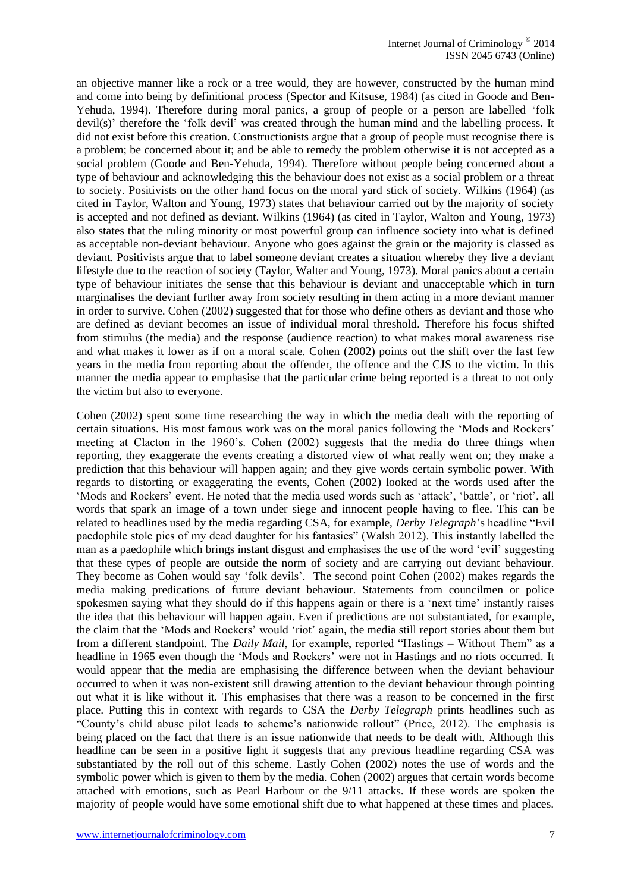an objective manner like a rock or a tree would, they are however, constructed by the human mind and come into being by definitional process (Spector and Kitsuse, 1984) (as cited in Goode and Ben-Yehuda, 1994). Therefore during moral panics, a group of people or a person are labelled 'folk devil(s)' therefore the 'folk devil' was created through the human mind and the labelling process. It did not exist before this creation. Constructionists argue that a group of people must recognise there is a problem; be concerned about it; and be able to remedy the problem otherwise it is not accepted as a social problem (Goode and Ben-Yehuda, 1994). Therefore without people being concerned about a type of behaviour and acknowledging this the behaviour does not exist as a social problem or a threat to society. Positivists on the other hand focus on the moral yard stick of society. Wilkins (1964) (as cited in Taylor, Walton and Young, 1973) states that behaviour carried out by the majority of society is accepted and not defined as deviant. Wilkins (1964) (as cited in Taylor, Walton and Young*,* 1973) also states that the ruling minority or most powerful group can influence society into what is defined as acceptable non-deviant behaviour. Anyone who goes against the grain or the majority is classed as deviant. Positivists argue that to label someone deviant creates a situation whereby they live a deviant lifestyle due to the reaction of society (Taylor, Walter and Young, 1973). Moral panics about a certain type of behaviour initiates the sense that this behaviour is deviant and unacceptable which in turn marginalises the deviant further away from society resulting in them acting in a more deviant manner in order to survive. Cohen (2002) suggested that for those who define others as deviant and those who are defined as deviant becomes an issue of individual moral threshold. Therefore his focus shifted from stimulus (the media) and the response (audience reaction) to what makes moral awareness rise and what makes it lower as if on a moral scale. Cohen (2002) points out the shift over the last few years in the media from reporting about the offender, the offence and the CJS to the victim. In this manner the media appear to emphasise that the particular crime being reported is a threat to not only the victim but also to everyone.

Cohen (2002) spent some time researching the way in which the media dealt with the reporting of certain situations. His most famous work was on the moral panics following the 'Mods and Rockers' meeting at Clacton in the 1960's. Cohen (2002) suggests that the media do three things when reporting, they exaggerate the events creating a distorted view of what really went on; they make a prediction that this behaviour will happen again; and they give words certain symbolic power. With regards to distorting or exaggerating the events, Cohen (2002) looked at the words used after the 'Mods and Rockers' event. He noted that the media used words such as 'attack', 'battle', or 'riot', all words that spark an image of a town under siege and innocent people having to flee. This can be related to headlines used by the media regarding CSA, for example, *Derby Telegraph*'s headline "Evil paedophile stole pics of my dead daughter for his fantasies" (Walsh 2012). This instantly labelled the man as a paedophile which brings instant disgust and emphasises the use of the word 'evil' suggesting that these types of people are outside the norm of society and are carrying out deviant behaviour. They become as Cohen would say 'folk devils'. The second point Cohen (2002) makes regards the media making predications of future deviant behaviour. Statements from councilmen or police spokesmen saying what they should do if this happens again or there is a 'next time' instantly raises the idea that this behaviour will happen again. Even if predictions are not substantiated, for example, the claim that the 'Mods and Rockers' would 'riot' again, the media still report stories about them but from a different standpoint. The *Daily Mail*, for example, reported "Hastings – Without Them" as a headline in 1965 even though the 'Mods and Rockers' were not in Hastings and no riots occurred. It would appear that the media are emphasising the difference between when the deviant behaviour occurred to when it was non-existent still drawing attention to the deviant behaviour through pointing out what it is like without it. This emphasises that there was a reason to be concerned in the first place. Putting this in context with regards to CSA the *Derby Telegraph* prints headlines such as "County's child abuse pilot leads to scheme's nationwide rollout" (Price, 2012). The emphasis is being placed on the fact that there is an issue nationwide that needs to be dealt with. Although this headline can be seen in a positive light it suggests that any previous headline regarding CSA was substantiated by the roll out of this scheme. Lastly Cohen (2002) notes the use of words and the symbolic power which is given to them by the media. Cohen (2002) argues that certain words become attached with emotions, such as Pearl Harbour or the 9/11 attacks. If these words are spoken the majority of people would have some emotional shift due to what happened at these times and places.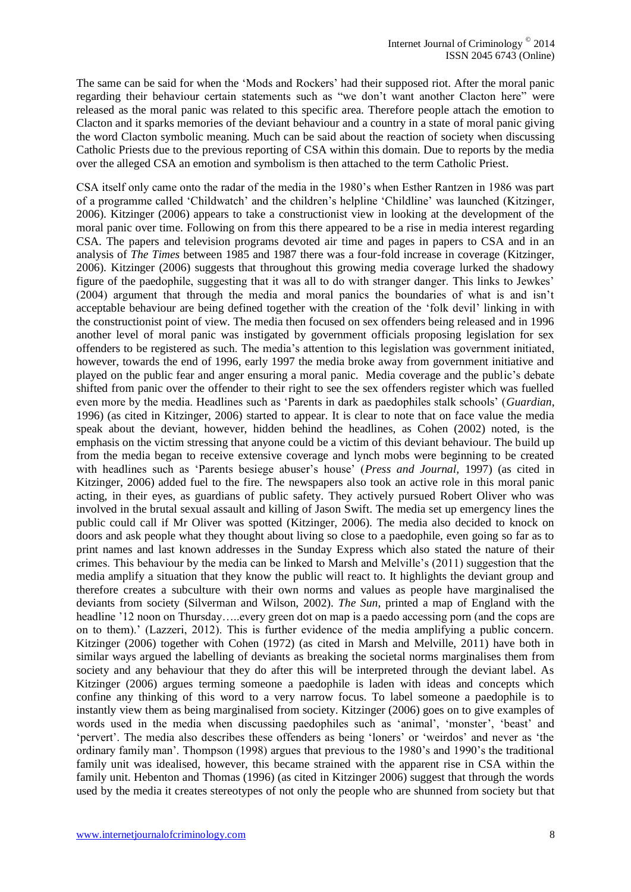The same can be said for when the 'Mods and Rockers' had their supposed riot. After the moral panic regarding their behaviour certain statements such as "we don't want another Clacton here" were released as the moral panic was related to this specific area. Therefore people attach the emotion to Clacton and it sparks memories of the deviant behaviour and a country in a state of moral panic giving the word Clacton symbolic meaning. Much can be said about the reaction of society when discussing Catholic Priests due to the previous reporting of CSA within this domain. Due to reports by the media over the alleged CSA an emotion and symbolism is then attached to the term Catholic Priest.

CSA itself only came onto the radar of the media in the 1980's when Esther Rantzen in 1986 was part of a programme called 'Childwatch' and the children's helpline 'Childline' was launched (Kitzinger, 2006). Kitzinger (2006) appears to take a constructionist view in looking at the development of the moral panic over time. Following on from this there appeared to be a rise in media interest regarding CSA. The papers and television programs devoted air time and pages in papers to CSA and in an analysis of *The Times* between 1985 and 1987 there was a four-fold increase in coverage (Kitzinger, 2006). Kitzinger (2006) suggests that throughout this growing media coverage lurked the shadowy figure of the paedophile, suggesting that it was all to do with stranger danger. This links to Jewkes' (2004) argument that through the media and moral panics the boundaries of what is and isn't acceptable behaviour are being defined together with the creation of the 'folk devil' linking in with the constructionist point of view. The media then focused on sex offenders being released and in 1996 another level of moral panic was instigated by government officials proposing legislation for sex offenders to be registered as such. The media's attention to this legislation was government initiated, however, towards the end of 1996, early 1997 the media broke away from government initiative and played on the public fear and anger ensuring a moral panic. Media coverage and the public's debate shifted from panic over the offender to their right to see the sex offenders register which was fuelled even more by the media. Headlines such as 'Parents in dark as paedophiles stalk schools' (*Guardian*, 1996) (as cited in Kitzinger, 2006) started to appear. It is clear to note that on face value the media speak about the deviant, however, hidden behind the headlines, as Cohen (2002) noted, is the emphasis on the victim stressing that anyone could be a victim of this deviant behaviour. The build up from the media began to receive extensive coverage and lynch mobs were beginning to be created with headlines such as 'Parents besiege abuser's house' (*Press and Journal,* 1997) (as cited in Kitzinger, 2006) added fuel to the fire. The newspapers also took an active role in this moral panic acting, in their eyes, as guardians of public safety. They actively pursued Robert Oliver who was involved in the brutal sexual assault and killing of Jason Swift. The media set up emergency lines the public could call if Mr Oliver was spotted (Kitzinger, 2006). The media also decided to knock on doors and ask people what they thought about living so close to a paedophile, even going so far as to print names and last known addresses in the Sunday Express which also stated the nature of their crimes. This behaviour by the media can be linked to Marsh and Melville's (2011) suggestion that the media amplify a situation that they know the public will react to. It highlights the deviant group and therefore creates a subculture with their own norms and values as people have marginalised the deviants from society (Silverman and Wilson, 2002). *The Sun*, printed a map of England with the headline '12 noon on Thursday.....every green dot on map is a paedo accessing porn (and the cops are on to them).' (Lazzeri, 2012). This is further evidence of the media amplifying a public concern. Kitzinger (2006) together with Cohen (1972) (as cited in Marsh and Melville, 2011) have both in similar ways argued the labelling of deviants as breaking the societal norms marginalises them from society and any behaviour that they do after this will be interpreted through the deviant label. As Kitzinger (2006) argues terming someone a paedophile is laden with ideas and concepts which confine any thinking of this word to a very narrow focus. To label someone a paedophile is to instantly view them as being marginalised from society. Kitzinger (2006) goes on to give examples of words used in the media when discussing paedophiles such as 'animal', 'monster', 'beast' and 'pervert'. The media also describes these offenders as being 'loners' or 'weirdos' and never as 'the ordinary family man'. Thompson (1998) argues that previous to the 1980's and 1990's the traditional family unit was idealised, however, this became strained with the apparent rise in CSA within the family unit. Hebenton and Thomas (1996) (as cited in Kitzinger 2006) suggest that through the words used by the media it creates stereotypes of not only the people who are shunned from society but that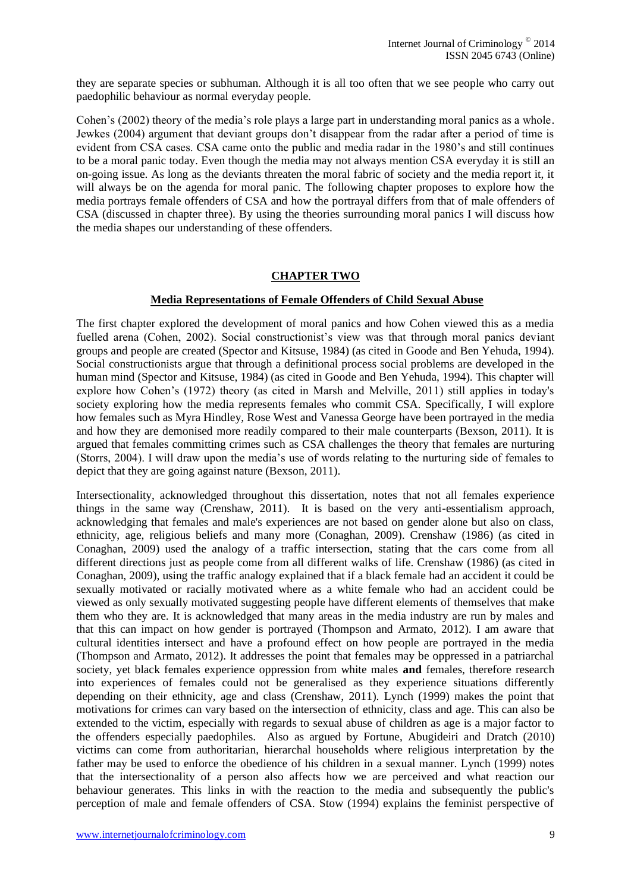they are separate species or subhuman. Although it is all too often that we see people who carry out paedophilic behaviour as normal everyday people.

Cohen's (2002) theory of the media's role plays a large part in understanding moral panics as a whole. Jewkes (2004) argument that deviant groups don't disappear from the radar after a period of time is evident from CSA cases. CSA came onto the public and media radar in the 1980's and still continues to be a moral panic today. Even though the media may not always mention CSA everyday it is still an on-going issue. As long as the deviants threaten the moral fabric of society and the media report it, it will always be on the agenda for moral panic. The following chapter proposes to explore how the media portrays female offenders of CSA and how the portrayal differs from that of male offenders of CSA (discussed in chapter three). By using the theories surrounding moral panics I will discuss how the media shapes our understanding of these offenders.

#### **CHAPTER TWO**

#### **Media Representations of Female Offenders of Child Sexual Abuse**

The first chapter explored the development of moral panics and how Cohen viewed this as a media fuelled arena (Cohen, 2002). Social constructionist's view was that through moral panics deviant groups and people are created (Spector and Kitsuse, 1984) (as cited in Goode and Ben Yehuda, 1994). Social constructionists argue that through a definitional process social problems are developed in the human mind (Spector and Kitsuse, 1984) (as cited in Goode and Ben Yehuda, 1994). This chapter will explore how Cohen's (1972) theory (as cited in Marsh and Melville, 2011) still applies in today's society exploring how the media represents females who commit CSA. Specifically, I will explore how females such as Myra Hindley, Rose West and Vanessa George have been portrayed in the media and how they are demonised more readily compared to their male counterparts (Bexson, 2011). It is argued that females committing crimes such as CSA challenges the theory that females are nurturing (Storrs, 2004). I will draw upon the media's use of words relating to the nurturing side of females to depict that they are going against nature (Bexson, 2011).

Intersectionality, acknowledged throughout this dissertation, notes that not all females experience things in the same way (Crenshaw, 2011). It is based on the very anti-essentialism approach, acknowledging that females and male's experiences are not based on gender alone but also on class, ethnicity, age, religious beliefs and many more (Conaghan, 2009). Crenshaw (1986) (as cited in Conaghan, 2009) used the analogy of a traffic intersection, stating that the cars come from all different directions just as people come from all different walks of life. Crenshaw (1986) (as cited in Conaghan, 2009), using the traffic analogy explained that if a black female had an accident it could be sexually motivated or racially motivated where as a white female who had an accident could be viewed as only sexually motivated suggesting people have different elements of themselves that make them who they are. It is acknowledged that many areas in the media industry are run by males and that this can impact on how gender is portrayed (Thompson and Armato, 2012). I am aware that cultural identities intersect and have a profound effect on how people are portrayed in the media (Thompson and Armato, 2012). It addresses the point that females may be oppressed in a patriarchal society, yet black females experience oppression from white males **and** females, therefore research into experiences of females could not be generalised as they experience situations differently depending on their ethnicity, age and class (Crenshaw, 2011). Lynch (1999) makes the point that motivations for crimes can vary based on the intersection of ethnicity, class and age. This can also be extended to the victim, especially with regards to sexual abuse of children as age is a major factor to the offenders especially paedophiles. Also as argued by Fortune, Abugideiri and Dratch (2010) victims can come from authoritarian, hierarchal households where religious interpretation by the father may be used to enforce the obedience of his children in a sexual manner. Lynch (1999) notes that the intersectionality of a person also affects how we are perceived and what reaction our behaviour generates. This links in with the reaction to the media and subsequently the public's perception of male and female offenders of CSA. Stow (1994) explains the feminist perspective of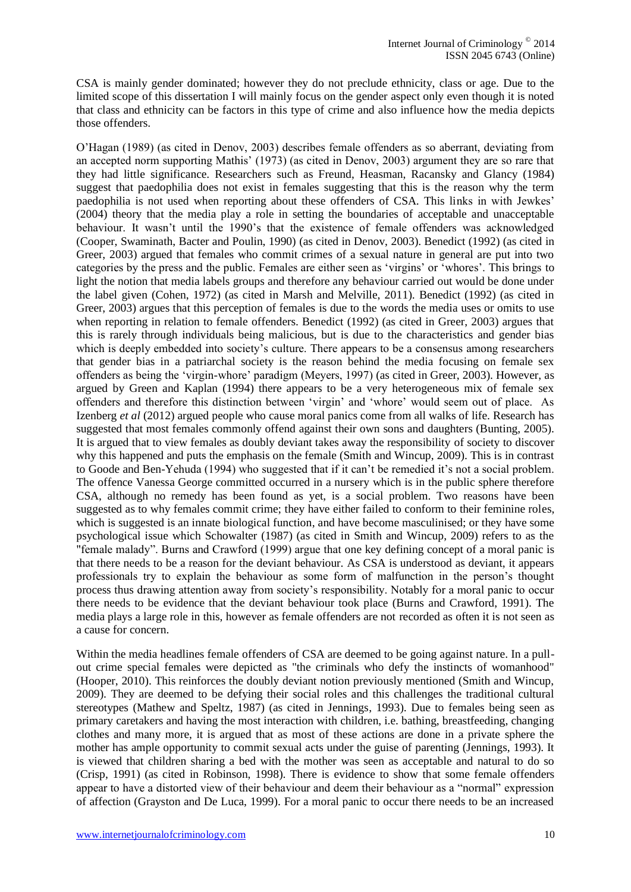CSA is mainly gender dominated; however they do not preclude ethnicity, class or age. Due to the limited scope of this dissertation I will mainly focus on the gender aspect only even though it is noted that class and ethnicity can be factors in this type of crime and also influence how the media depicts those offenders.

O'Hagan (1989) (as cited in Denov, 2003) describes female offenders as so aberrant, deviating from an accepted norm supporting Mathis' (1973) (as cited in Denov, 2003) argument they are so rare that they had little significance. Researchers such as Freund, Heasman, Racansky and Glancy (1984) suggest that paedophilia does not exist in females suggesting that this is the reason why the term paedophilia is not used when reporting about these offenders of CSA. This links in with Jewkes' (2004) theory that the media play a role in setting the boundaries of acceptable and unacceptable behaviour. It wasn't until the 1990's that the existence of female offenders was acknowledged (Cooper, Swaminath, Bacter and Poulin, 1990) (as cited in Denov, 2003). Benedict (1992) (as cited in Greer, 2003) argued that females who commit crimes of a sexual nature in general are put into two categories by the press and the public. Females are either seen as 'virgins' or 'whores'. This brings to light the notion that media labels groups and therefore any behaviour carried out would be done under the label given (Cohen, 1972) (as cited in Marsh and Melville, 2011). Benedict (1992) (as cited in Greer, 2003) argues that this perception of females is due to the words the media uses or omits to use when reporting in relation to female offenders. Benedict (1992) (as cited in Greer, 2003) argues that this is rarely through individuals being malicious, but is due to the characteristics and gender bias which is deeply embedded into society's culture. There appears to be a consensus among researchers that gender bias in a patriarchal society is the reason behind the media focusing on female sex offenders as being the 'virgin-whore' paradigm (Meyers, 1997) (as cited in Greer, 2003). However, as argued by Green and Kaplan (1994) there appears to be a very heterogeneous mix of female sex offenders and therefore this distinction between 'virgin' and 'whore' would seem out of place. As Izenberg *et al* (2012) argued people who cause moral panics come from all walks of life. Research has suggested that most females commonly offend against their own sons and daughters (Bunting, 2005). It is argued that to view females as doubly deviant takes away the responsibility of society to discover why this happened and puts the emphasis on the female (Smith and Wincup, 2009). This is in contrast to Goode and Ben-Yehuda (1994) who suggested that if it can't be remedied it's not a social problem. The offence Vanessa George committed occurred in a nursery which is in the public sphere therefore CSA, although no remedy has been found as yet, is a social problem. Two reasons have been suggested as to why females commit crime; they have either failed to conform to their feminine roles, which is suggested is an innate biological function, and have become masculinised; or they have some psychological issue which Schowalter (1987) (as cited in Smith and Wincup, 2009) refers to as the "female malady". Burns and Crawford (1999) argue that one key defining concept of a moral panic is that there needs to be a reason for the deviant behaviour. As CSA is understood as deviant, it appears professionals try to explain the behaviour as some form of malfunction in the person's thought process thus drawing attention away from society's responsibility. Notably for a moral panic to occur there needs to be evidence that the deviant behaviour took place (Burns and Crawford, 1991). The media plays a large role in this, however as female offenders are not recorded as often it is not seen as a cause for concern.

Within the media headlines female offenders of CSA are deemed to be going against nature. In a pullout crime special females were depicted as "the criminals who defy the instincts of womanhood" (Hooper, 2010). This reinforces the doubly deviant notion previously mentioned (Smith and Wincup, 2009). They are deemed to be defying their social roles and this challenges the traditional cultural stereotypes (Mathew and Speltz, 1987) (as cited in Jennings, 1993). Due to females being seen as primary caretakers and having the most interaction with children, i.e. bathing, breastfeeding, changing clothes and many more, it is argued that as most of these actions are done in a private sphere the mother has ample opportunity to commit sexual acts under the guise of parenting (Jennings, 1993). It is viewed that children sharing a bed with the mother was seen as acceptable and natural to do so (Crisp, 1991) (as cited in Robinson, 1998). There is evidence to show that some female offenders appear to have a distorted view of their behaviour and deem their behaviour as a "normal" expression of affection (Grayston and De Luca, 1999). For a moral panic to occur there needs to be an increased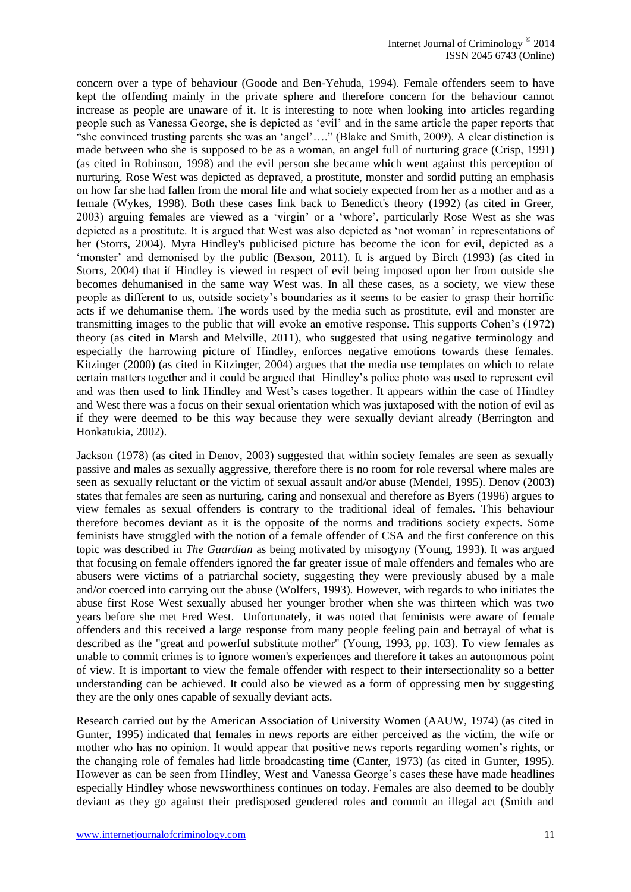concern over a type of behaviour (Goode and Ben-Yehuda, 1994). Female offenders seem to have kept the offending mainly in the private sphere and therefore concern for the behaviour cannot increase as people are unaware of it. It is interesting to note when looking into articles regarding people such as Vanessa George, she is depicted as 'evil' and in the same article the paper reports that "she convinced trusting parents she was an 'angel'…." (Blake and Smith, 2009). A clear distinction is made between who she is supposed to be as a woman, an angel full of nurturing grace (Crisp, 1991) (as cited in Robinson, 1998) and the evil person she became which went against this perception of nurturing. Rose West was depicted as depraved, a prostitute, monster and sordid putting an emphasis on how far she had fallen from the moral life and what society expected from her as a mother and as a female (Wykes, 1998). Both these cases link back to Benedict's theory (1992) (as cited in Greer, 2003) arguing females are viewed as a 'virgin' or a 'whore', particularly Rose West as she was depicted as a prostitute. It is argued that West was also depicted as 'not woman' in representations of her (Storrs, 2004). Myra Hindley's publicised picture has become the icon for evil, depicted as a 'monster' and demonised by the public (Bexson, 2011). It is argued by Birch (1993) (as cited in Storrs, 2004) that if Hindley is viewed in respect of evil being imposed upon her from outside she becomes dehumanised in the same way West was. In all these cases, as a society, we view these people as different to us, outside society's boundaries as it seems to be easier to grasp their horrific acts if we dehumanise them. The words used by the media such as prostitute, evil and monster are transmitting images to the public that will evoke an emotive response. This supports Cohen's (1972) theory (as cited in Marsh and Melville, 2011), who suggested that using negative terminology and especially the harrowing picture of Hindley, enforces negative emotions towards these females. Kitzinger (2000) (as cited in Kitzinger, 2004) argues that the media use templates on which to relate certain matters together and it could be argued that Hindley's police photo was used to represent evil and was then used to link Hindley and West's cases together. It appears within the case of Hindley and West there was a focus on their sexual orientation which was juxtaposed with the notion of evil as if they were deemed to be this way because they were sexually deviant already (Berrington and Honkatukia, 2002).

Jackson (1978) (as cited in Denov, 2003) suggested that within society females are seen as sexually passive and males as sexually aggressive, therefore there is no room for role reversal where males are seen as sexually reluctant or the victim of sexual assault and/or abuse (Mendel, 1995). Denov (2003) states that females are seen as nurturing, caring and nonsexual and therefore as Byers (1996) argues to view females as sexual offenders is contrary to the traditional ideal of females. This behaviour therefore becomes deviant as it is the opposite of the norms and traditions society expects. Some feminists have struggled with the notion of a female offender of CSA and the first conference on this topic was described in *The Guardian* as being motivated by misogyny (Young, 1993). It was argued that focusing on female offenders ignored the far greater issue of male offenders and females who are abusers were victims of a patriarchal society, suggesting they were previously abused by a male and/or coerced into carrying out the abuse (Wolfers, 1993). However, with regards to who initiates the abuse first Rose West sexually abused her younger brother when she was thirteen which was two years before she met Fred West. Unfortunately, it was noted that feminists were aware of female offenders and this received a large response from many people feeling pain and betrayal of what is described as the "great and powerful substitute mother" (Young, 1993, pp. 103). To view females as unable to commit crimes is to ignore women's experiences and therefore it takes an autonomous point of view. It is important to view the female offender with respect to their intersectionality so a better understanding can be achieved. It could also be viewed as a form of oppressing men by suggesting they are the only ones capable of sexually deviant acts.

Research carried out by the American Association of University Women (AAUW, 1974) (as cited in Gunter, 1995) indicated that females in news reports are either perceived as the victim, the wife or mother who has no opinion. It would appear that positive news reports regarding women's rights, or the changing role of females had little broadcasting time (Canter, 1973) (as cited in Gunter, 1995). However as can be seen from Hindley, West and Vanessa George's cases these have made headlines especially Hindley whose newsworthiness continues on today. Females are also deemed to be doubly deviant as they go against their predisposed gendered roles and commit an illegal act (Smith and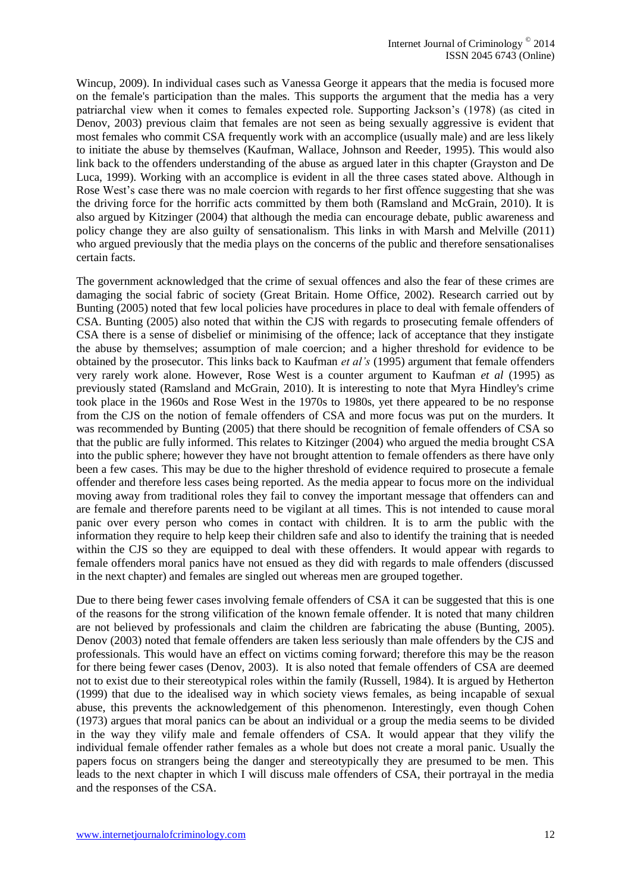Wincup, 2009). In individual cases such as Vanessa George it appears that the media is focused more on the female's participation than the males. This supports the argument that the media has a very patriarchal view when it comes to females expected role. Supporting Jackson's (1978) (as cited in Denov, 2003) previous claim that females are not seen as being sexually aggressive is evident that most females who commit CSA frequently work with an accomplice (usually male) and are less likely to initiate the abuse by themselves (Kaufman, Wallace, Johnson and Reeder, 1995). This would also link back to the offenders understanding of the abuse as argued later in this chapter (Grayston and De Luca, 1999). Working with an accomplice is evident in all the three cases stated above. Although in Rose West's case there was no male coercion with regards to her first offence suggesting that she was the driving force for the horrific acts committed by them both (Ramsland and McGrain, 2010). It is also argued by Kitzinger (2004) that although the media can encourage debate, public awareness and policy change they are also guilty of sensationalism. This links in with Marsh and Melville (2011) who argued previously that the media plays on the concerns of the public and therefore sensationalises certain facts.

The government acknowledged that the crime of sexual offences and also the fear of these crimes are damaging the social fabric of society (Great Britain. Home Office, 2002). Research carried out by Bunting (2005) noted that few local policies have procedures in place to deal with female offenders of CSA. Bunting (2005) also noted that within the CJS with regards to prosecuting female offenders of CSA there is a sense of disbelief or minimising of the offence; lack of acceptance that they instigate the abuse by themselves; assumption of male coercion; and a higher threshold for evidence to be obtained by the prosecutor. This links back to Kaufman *et al's* (1995) argument that female offenders very rarely work alone. However, Rose West is a counter argument to Kaufman *et al* (1995) as previously stated (Ramsland and McGrain, 2010). It is interesting to note that Myra Hindley's crime took place in the 1960s and Rose West in the 1970s to 1980s, yet there appeared to be no response from the CJS on the notion of female offenders of CSA and more focus was put on the murders. It was recommended by Bunting (2005) that there should be recognition of female offenders of CSA so that the public are fully informed. This relates to Kitzinger (2004) who argued the media brought CSA into the public sphere; however they have not brought attention to female offenders as there have only been a few cases. This may be due to the higher threshold of evidence required to prosecute a female offender and therefore less cases being reported. As the media appear to focus more on the individual moving away from traditional roles they fail to convey the important message that offenders can and are female and therefore parents need to be vigilant at all times. This is not intended to cause moral panic over every person who comes in contact with children. It is to arm the public with the information they require to help keep their children safe and also to identify the training that is needed within the CJS so they are equipped to deal with these offenders. It would appear with regards to female offenders moral panics have not ensued as they did with regards to male offenders (discussed in the next chapter) and females are singled out whereas men are grouped together.

Due to there being fewer cases involving female offenders of CSA it can be suggested that this is one of the reasons for the strong vilification of the known female offender. It is noted that many children are not believed by professionals and claim the children are fabricating the abuse (Bunting, 2005). Denov (2003) noted that female offenders are taken less seriously than male offenders by the CJS and professionals. This would have an effect on victims coming forward; therefore this may be the reason for there being fewer cases (Denov, 2003). It is also noted that female offenders of CSA are deemed not to exist due to their stereotypical roles within the family (Russell, 1984). It is argued by Hetherton (1999) that due to the idealised way in which society views females, as being incapable of sexual abuse, this prevents the acknowledgement of this phenomenon. Interestingly, even though Cohen (1973) argues that moral panics can be about an individual or a group the media seems to be divided in the way they vilify male and female offenders of CSA. It would appear that they vilify the individual female offender rather females as a whole but does not create a moral panic. Usually the papers focus on strangers being the danger and stereotypically they are presumed to be men. This leads to the next chapter in which I will discuss male offenders of CSA, their portrayal in the media and the responses of the CSA.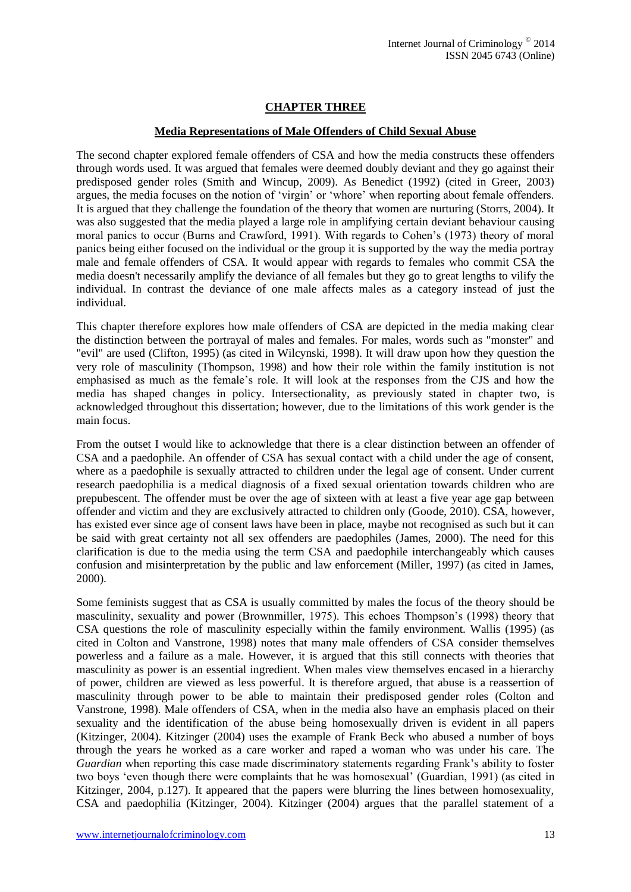# **CHAPTER THREE**

#### **Media Representations of Male Offenders of Child Sexual Abuse**

The second chapter explored female offenders of CSA and how the media constructs these offenders through words used. It was argued that females were deemed doubly deviant and they go against their predisposed gender roles (Smith and Wincup, 2009). As Benedict (1992) (cited in Greer, 2003) argues, the media focuses on the notion of 'virgin' or 'whore' when reporting about female offenders. It is argued that they challenge the foundation of the theory that women are nurturing (Storrs, 2004). It was also suggested that the media played a large role in amplifying certain deviant behaviour causing moral panics to occur (Burns and Crawford, 1991). With regards to Cohen's (1973) theory of moral panics being either focused on the individual or the group it is supported by the way the media portray male and female offenders of CSA. It would appear with regards to females who commit CSA the media doesn't necessarily amplify the deviance of all females but they go to great lengths to vilify the individual. In contrast the deviance of one male affects males as a category instead of just the individual.

This chapter therefore explores how male offenders of CSA are depicted in the media making clear the distinction between the portrayal of males and females. For males, words such as "monster" and "evil" are used (Clifton, 1995) (as cited in Wilcynski, 1998). It will draw upon how they question the very role of masculinity (Thompson, 1998) and how their role within the family institution is not emphasised as much as the female's role. It will look at the responses from the CJS and how the media has shaped changes in policy. Intersectionality, as previously stated in chapter two, is acknowledged throughout this dissertation; however, due to the limitations of this work gender is the main focus.

From the outset I would like to acknowledge that there is a clear distinction between an offender of CSA and a paedophile. An offender of CSA has sexual contact with a child under the age of consent, where as a paedophile is sexually attracted to children under the legal age of consent. Under current research paedophilia is a medical diagnosis of a fixed sexual orientation towards children who are prepubescent. The offender must be over the age of sixteen with at least a five year age gap between offender and victim and they are exclusively attracted to children only (Goode, 2010). CSA, however, has existed ever since age of consent laws have been in place, maybe not recognised as such but it can be said with great certainty not all sex offenders are paedophiles (James, 2000). The need for this clarification is due to the media using the term CSA and paedophile interchangeably which causes confusion and misinterpretation by the public and law enforcement (Miller, 1997) (as cited in James, 2000).

Some feminists suggest that as CSA is usually committed by males the focus of the theory should be masculinity, sexuality and power (Brownmiller, 1975). This echoes Thompson's (1998) theory that CSA questions the role of masculinity especially within the family environment. Wallis (1995) (as cited in Colton and Vanstrone, 1998) notes that many male offenders of CSA consider themselves powerless and a failure as a male. However, it is argued that this still connects with theories that masculinity as power is an essential ingredient. When males view themselves encased in a hierarchy of power, children are viewed as less powerful. It is therefore argued, that abuse is a reassertion of masculinity through power to be able to maintain their predisposed gender roles (Colton and Vanstrone, 1998). Male offenders of CSA, when in the media also have an emphasis placed on their sexuality and the identification of the abuse being homosexually driven is evident in all papers (Kitzinger, 2004). Kitzinger (2004) uses the example of Frank Beck who abused a number of boys through the years he worked as a care worker and raped a woman who was under his care. The *Guardian* when reporting this case made discriminatory statements regarding Frank's ability to foster two boys 'even though there were complaints that he was homosexual' (Guardian, 1991) (as cited in Kitzinger, 2004, p.127). It appeared that the papers were blurring the lines between homosexuality, CSA and paedophilia (Kitzinger, 2004). Kitzinger (2004) argues that the parallel statement of a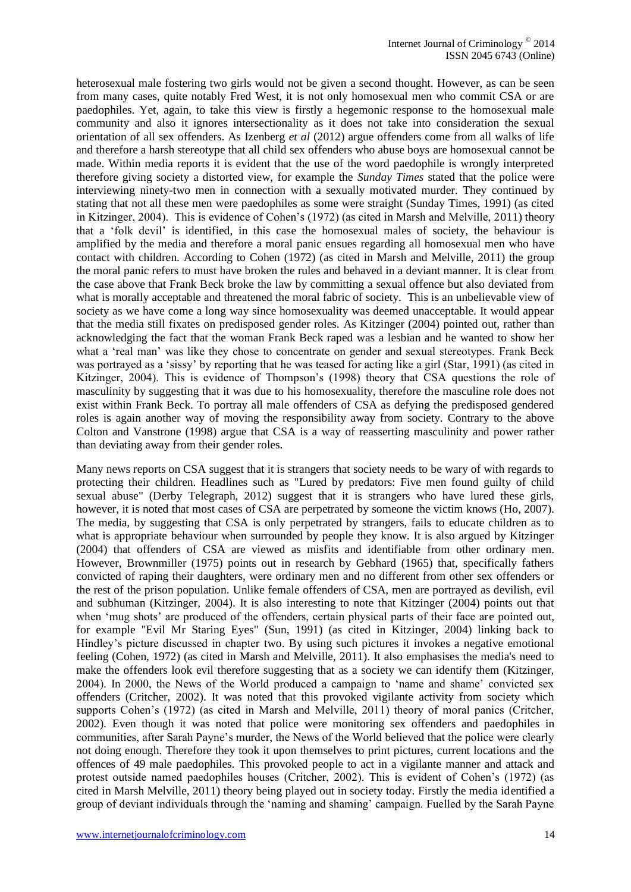heterosexual male fostering two girls would not be given a second thought. However, as can be seen from many cases, quite notably Fred West, it is not only homosexual men who commit CSA or are paedophiles. Yet, again, to take this view is firstly a hegemonic response to the homosexual male community and also it ignores intersectionality as it does not take into consideration the sexual orientation of all sex offenders. As Izenberg *et al* (2012) argue offenders come from all walks of life and therefore a harsh stereotype that all child sex offenders who abuse boys are homosexual cannot be made. Within media reports it is evident that the use of the word paedophile is wrongly interpreted therefore giving society a distorted view, for example the *Sunday Times* stated that the police were interviewing ninety-two men in connection with a sexually motivated murder. They continued by stating that not all these men were paedophiles as some were straight (Sunday Times, 1991) (as cited in Kitzinger, 2004). This is evidence of Cohen's (1972) (as cited in Marsh and Melville, 2011) theory that a 'folk devil' is identified, in this case the homosexual males of society, the behaviour is amplified by the media and therefore a moral panic ensues regarding all homosexual men who have contact with children. According to Cohen (1972) (as cited in Marsh and Melville, 2011) the group the moral panic refers to must have broken the rules and behaved in a deviant manner. It is clear from the case above that Frank Beck broke the law by committing a sexual offence but also deviated from what is morally acceptable and threatened the moral fabric of society. This is an unbelievable view of society as we have come a long way since homosexuality was deemed unacceptable. It would appear that the media still fixates on predisposed gender roles. As Kitzinger (2004) pointed out, rather than acknowledging the fact that the woman Frank Beck raped was a lesbian and he wanted to show her what a 'real man' was like they chose to concentrate on gender and sexual stereotypes. Frank Beck was portrayed as a 'sissy' by reporting that he was teased for acting like a girl (Star, 1991) (as cited in Kitzinger, 2004). This is evidence of Thompson's (1998) theory that CSA questions the role of masculinity by suggesting that it was due to his homosexuality, therefore the masculine role does not exist within Frank Beck. To portray all male offenders of CSA as defying the predisposed gendered roles is again another way of moving the responsibility away from society. Contrary to the above Colton and Vanstrone (1998) argue that CSA is a way of reasserting masculinity and power rather than deviating away from their gender roles.

Many news reports on CSA suggest that it is strangers that society needs to be wary of with regards to protecting their children. Headlines such as "Lured by predators: Five men found guilty of child sexual abuse" (Derby Telegraph, 2012) suggest that it is strangers who have lured these girls, however, it is noted that most cases of CSA are perpetrated by someone the victim knows (Ho, 2007). The media, by suggesting that CSA is only perpetrated by strangers, fails to educate children as to what is appropriate behaviour when surrounded by people they know. It is also argued by Kitzinger (2004) that offenders of CSA are viewed as misfits and identifiable from other ordinary men. However, Brownmiller (1975) points out in research by Gebhard (1965) that, specifically fathers convicted of raping their daughters, were ordinary men and no different from other sex offenders or the rest of the prison population. Unlike female offenders of CSA, men are portrayed as devilish, evil and subhuman (Kitzinger, 2004). It is also interesting to note that Kitzinger (2004) points out that when 'mug shots' are produced of the offenders, certain physical parts of their face are pointed out, for example "Evil Mr Staring Eyes" (Sun, 1991) (as cited in Kitzinger, 2004) linking back to Hindley's picture discussed in chapter two. By using such pictures it invokes a negative emotional feeling (Cohen, 1972) (as cited in Marsh and Melville, 2011). It also emphasises the media's need to make the offenders look evil therefore suggesting that as a society we can identify them (Kitzinger, 2004). In 2000, the News of the World produced a campaign to 'name and shame' convicted sex offenders (Critcher, 2002). It was noted that this provoked vigilante activity from society which supports Cohen's (1972) (as cited in Marsh and Melville, 2011) theory of moral panics (Critcher, 2002). Even though it was noted that police were monitoring sex offenders and paedophiles in communities, after Sarah Payne's murder, the News of the World believed that the police were clearly not doing enough. Therefore they took it upon themselves to print pictures, current locations and the offences of 49 male paedophiles. This provoked people to act in a vigilante manner and attack and protest outside named paedophiles houses (Critcher, 2002). This is evident of Cohen's (1972) (as cited in Marsh Melville, 2011) theory being played out in society today. Firstly the media identified a group of deviant individuals through the 'naming and shaming' campaign. Fuelled by the Sarah Payne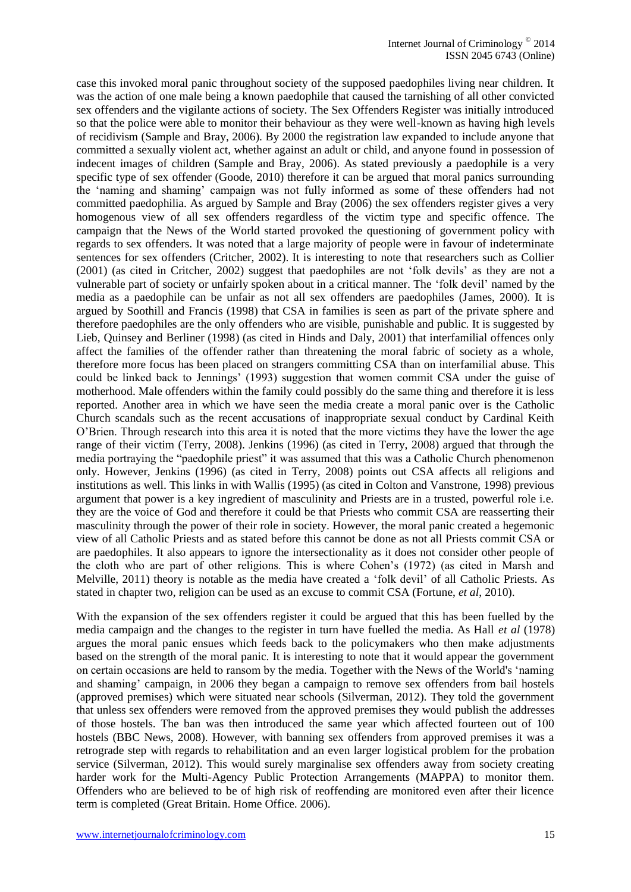case this invoked moral panic throughout society of the supposed paedophiles living near children. It was the action of one male being a known paedophile that caused the tarnishing of all other convicted sex offenders and the vigilante actions of society. The Sex Offenders Register was initially introduced so that the police were able to monitor their behaviour as they were well-known as having high levels of recidivism (Sample and Bray, 2006). By 2000 the registration law expanded to include anyone that committed a sexually violent act, whether against an adult or child, and anyone found in possession of indecent images of children (Sample and Bray, 2006). As stated previously a paedophile is a very specific type of sex offender (Goode, 2010) therefore it can be argued that moral panics surrounding the 'naming and shaming' campaign was not fully informed as some of these offenders had not committed paedophilia. As argued by Sample and Bray (2006) the sex offenders register gives a very homogenous view of all sex offenders regardless of the victim type and specific offence. The campaign that the News of the World started provoked the questioning of government policy with regards to sex offenders. It was noted that a large majority of people were in favour of indeterminate sentences for sex offenders (Critcher, 2002). It is interesting to note that researchers such as Collier (2001) (as cited in Critcher, 2002) suggest that paedophiles are not 'folk devils' as they are not a vulnerable part of society or unfairly spoken about in a critical manner. The 'folk devil' named by the media as a paedophile can be unfair as not all sex offenders are paedophiles (James, 2000). It is argued by Soothill and Francis (1998) that CSA in families is seen as part of the private sphere and therefore paedophiles are the only offenders who are visible, punishable and public. It is suggested by Lieb, Quinsey and Berliner (1998) (as cited in Hinds and Daly, 2001) that interfamilial offences only affect the families of the offender rather than threatening the moral fabric of society as a whole, therefore more focus has been placed on strangers committing CSA than on interfamilial abuse. This could be linked back to Jennings' (1993) suggestion that women commit CSA under the guise of motherhood. Male offenders within the family could possibly do the same thing and therefore it is less reported. Another area in which we have seen the media create a moral panic over is the Catholic Church scandals such as the recent accusations of inappropriate sexual conduct by Cardinal Keith O'Brien. Through research into this area it is noted that the more victims they have the lower the age range of their victim (Terry, 2008). Jenkins (1996) (as cited in Terry, 2008) argued that through the media portraying the "paedophile priest" it was assumed that this was a Catholic Church phenomenon only. However, Jenkins (1996) (as cited in Terry, 2008) points out CSA affects all religions and institutions as well. This links in with Wallis (1995) (as cited in Colton and Vanstrone, 1998) previous argument that power is a key ingredient of masculinity and Priests are in a trusted, powerful role i.e. they are the voice of God and therefore it could be that Priests who commit CSA are reasserting their masculinity through the power of their role in society. However, the moral panic created a hegemonic view of all Catholic Priests and as stated before this cannot be done as not all Priests commit CSA or are paedophiles. It also appears to ignore the intersectionality as it does not consider other people of the cloth who are part of other religions. This is where Cohen's (1972) (as cited in Marsh and Melville, 2011) theory is notable as the media have created a 'folk devil' of all Catholic Priests. As stated in chapter two, religion can be used as an excuse to commit CSA (Fortune, *et al*, 2010).

With the expansion of the sex offenders register it could be argued that this has been fuelled by the media campaign and the changes to the register in turn have fuelled the media. As Hall *et al* (1978) argues the moral panic ensues which feeds back to the policymakers who then make adjustments based on the strength of the moral panic. It is interesting to note that it would appear the government on certain occasions are held to ransom by the media. Together with the News of the World's 'naming and shaming' campaign, in 2006 they began a campaign to remove sex offenders from bail hostels (approved premises) which were situated near schools (Silverman, 2012). They told the government that unless sex offenders were removed from the approved premises they would publish the addresses of those hostels. The ban was then introduced the same year which affected fourteen out of 100 hostels (BBC News, 2008). However, with banning sex offenders from approved premises it was a retrograde step with regards to rehabilitation and an even larger logistical problem for the probation service (Silverman, 2012). This would surely marginalise sex offenders away from society creating harder work for the Multi-Agency Public Protection Arrangements (MAPPA) to monitor them. Offenders who are believed to be of high risk of reoffending are monitored even after their licence term is completed (Great Britain. Home Office. 2006).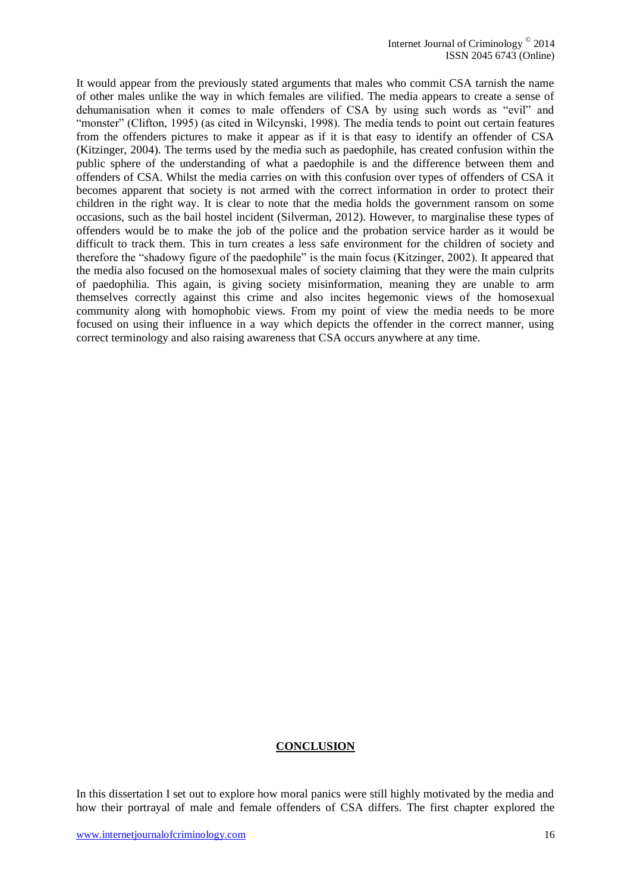It would appear from the previously stated arguments that males who commit CSA tarnish the name of other males unlike the way in which females are vilified. The media appears to create a sense of dehumanisation when it comes to male offenders of CSA by using such words as "evil" and "monster" (Clifton, 1995) (as cited in Wilcynski, 1998). The media tends to point out certain features from the offenders pictures to make it appear as if it is that easy to identify an offender of CSA (Kitzinger, 2004). The terms used by the media such as paedophile, has created confusion within the public sphere of the understanding of what a paedophile is and the difference between them and offenders of CSA. Whilst the media carries on with this confusion over types of offenders of CSA it becomes apparent that society is not armed with the correct information in order to protect their children in the right way. It is clear to note that the media holds the government ransom on some occasions, such as the bail hostel incident (Silverman, 2012). However, to marginalise these types of offenders would be to make the job of the police and the probation service harder as it would be difficult to track them. This in turn creates a less safe environment for the children of society and therefore the "shadowy figure of the paedophile" is the main focus (Kitzinger, 2002). It appeared that the media also focused on the homosexual males of society claiming that they were the main culprits of paedophilia. This again, is giving society misinformation, meaning they are unable to arm themselves correctly against this crime and also incites hegemonic views of the homosexual community along with homophobic views. From my point of view the media needs to be more focused on using their influence in a way which depicts the offender in the correct manner, using correct terminology and also raising awareness that CSA occurs anywhere at any time.

#### **CONCLUSION**

In this dissertation I set out to explore how moral panics were still highly motivated by the media and how their portrayal of male and female offenders of CSA differs. The first chapter explored the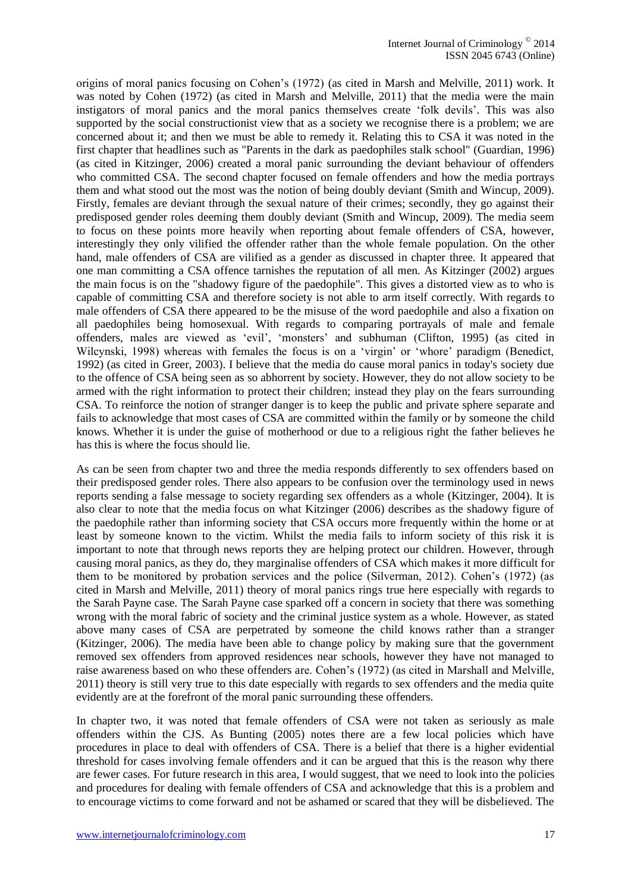origins of moral panics focusing on Cohen's (1972) (as cited in Marsh and Melville, 2011) work. It was noted by Cohen (1972) (as cited in Marsh and Melville, 2011) that the media were the main instigators of moral panics and the moral panics themselves create 'folk devils'. This was also supported by the social constructionist view that as a society we recognise there is a problem; we are concerned about it; and then we must be able to remedy it. Relating this to CSA it was noted in the first chapter that headlines such as "Parents in the dark as paedophiles stalk school" (Guardian, 1996) (as cited in Kitzinger, 2006) created a moral panic surrounding the deviant behaviour of offenders who committed CSA. The second chapter focused on female offenders and how the media portrays them and what stood out the most was the notion of being doubly deviant (Smith and Wincup, 2009). Firstly, females are deviant through the sexual nature of their crimes; secondly, they go against their predisposed gender roles deeming them doubly deviant (Smith and Wincup, 2009). The media seem to focus on these points more heavily when reporting about female offenders of CSA, however, interestingly they only vilified the offender rather than the whole female population. On the other hand, male offenders of CSA are vilified as a gender as discussed in chapter three. It appeared that one man committing a CSA offence tarnishes the reputation of all men. As Kitzinger (2002) argues the main focus is on the "shadowy figure of the paedophile". This gives a distorted view as to who is capable of committing CSA and therefore society is not able to arm itself correctly. With regards to male offenders of CSA there appeared to be the misuse of the word paedophile and also a fixation on all paedophiles being homosexual. With regards to comparing portrayals of male and female offenders, males are viewed as 'evil', 'monsters' and subhuman (Clifton, 1995) (as cited in Wilcynski, 1998) whereas with females the focus is on a 'virgin' or 'whore' paradigm (Benedict, 1992) (as cited in Greer, 2003). I believe that the media do cause moral panics in today's society due to the offence of CSA being seen as so abhorrent by society. However, they do not allow society to be armed with the right information to protect their children; instead they play on the fears surrounding CSA. To reinforce the notion of stranger danger is to keep the public and private sphere separate and fails to acknowledge that most cases of CSA are committed within the family or by someone the child knows. Whether it is under the guise of motherhood or due to a religious right the father believes he has this is where the focus should lie.

As can be seen from chapter two and three the media responds differently to sex offenders based on their predisposed gender roles. There also appears to be confusion over the terminology used in news reports sending a false message to society regarding sex offenders as a whole (Kitzinger, 2004). It is also clear to note that the media focus on what Kitzinger (2006) describes as the shadowy figure of the paedophile rather than informing society that CSA occurs more frequently within the home or at least by someone known to the victim. Whilst the media fails to inform society of this risk it is important to note that through news reports they are helping protect our children. However, through causing moral panics, as they do, they marginalise offenders of CSA which makes it more difficult for them to be monitored by probation services and the police (Silverman, 2012). Cohen's (1972) (as cited in Marsh and Melville, 2011) theory of moral panics rings true here especially with regards to the Sarah Payne case. The Sarah Payne case sparked off a concern in society that there was something wrong with the moral fabric of society and the criminal justice system as a whole. However, as stated above many cases of CSA are perpetrated by someone the child knows rather than a stranger (Kitzinger, 2006). The media have been able to change policy by making sure that the government removed sex offenders from approved residences near schools, however they have not managed to raise awareness based on who these offenders are. Cohen's (1972) (as cited in Marshall and Melville, 2011) theory is still very true to this date especially with regards to sex offenders and the media quite evidently are at the forefront of the moral panic surrounding these offenders.

In chapter two, it was noted that female offenders of CSA were not taken as seriously as male offenders within the CJS. As Bunting (2005) notes there are a few local policies which have procedures in place to deal with offenders of CSA. There is a belief that there is a higher evidential threshold for cases involving female offenders and it can be argued that this is the reason why there are fewer cases. For future research in this area, I would suggest, that we need to look into the policies and procedures for dealing with female offenders of CSA and acknowledge that this is a problem and to encourage victims to come forward and not be ashamed or scared that they will be disbelieved. The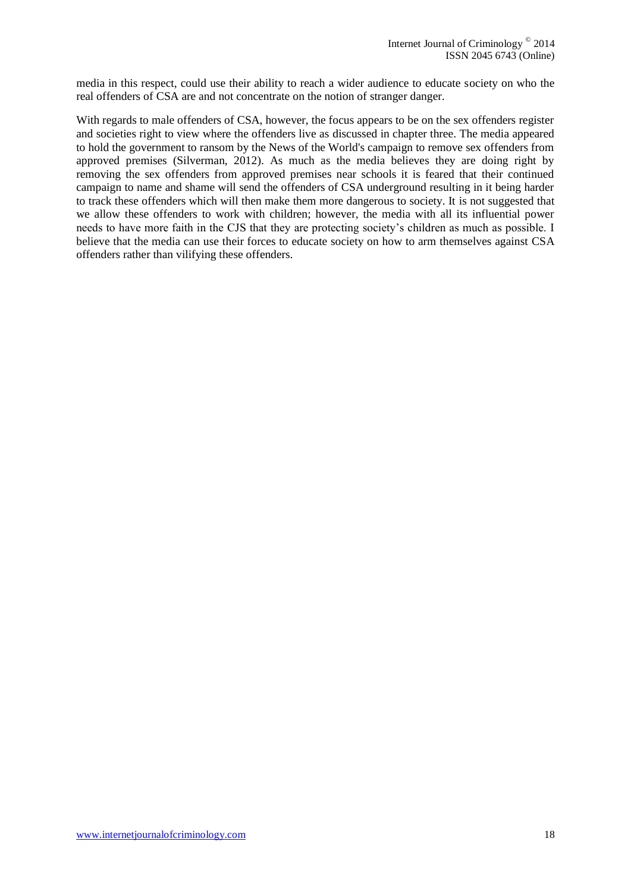media in this respect, could use their ability to reach a wider audience to educate society on who the real offenders of CSA are and not concentrate on the notion of stranger danger.

With regards to male offenders of CSA, however, the focus appears to be on the sex offenders register and societies right to view where the offenders live as discussed in chapter three. The media appeared to hold the government to ransom by the News of the World's campaign to remove sex offenders from approved premises (Silverman, 2012). As much as the media believes they are doing right by removing the sex offenders from approved premises near schools it is feared that their continued campaign to name and shame will send the offenders of CSA underground resulting in it being harder to track these offenders which will then make them more dangerous to society. It is not suggested that we allow these offenders to work with children; however, the media with all its influential power needs to have more faith in the CJS that they are protecting society's children as much as possible. I believe that the media can use their forces to educate society on how to arm themselves against CSA offenders rather than vilifying these offenders.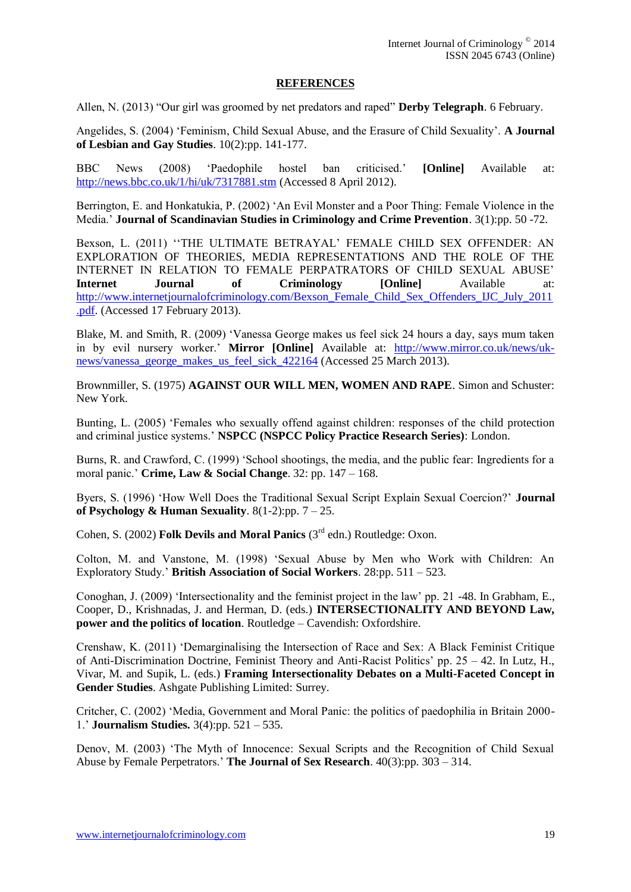## **REFERENCES**

Allen, N. (2013) "Our girl was groomed by net predators and raped" **Derby Telegraph**. 6 February.

Angelides, S. (2004) 'Feminism, Child Sexual Abuse, and the Erasure of Child Sexuality'. **A Journal of Lesbian and Gay Studies**. 10(2):pp. 141-177.

BBC News (2008) 'Paedophile hostel ban criticised.' **[Online]** Available at: <http://news.bbc.co.uk/1/hi/uk/7317881.stm> (Accessed 8 April 2012).

Berrington, E. and Honkatukia, P. (2002) 'An Evil Monster and a Poor Thing: Female Violence in the Media.' **Journal of Scandinavian Studies in Criminology and Crime Prevention**. 3(1):pp. 50 -72.

Bexson, L. (2011) ''THE ULTIMATE BETRAYAL' FEMALE CHILD SEX OFFENDER: AN EXPLORATION OF THEORIES, MEDIA REPRESENTATIONS AND THE ROLE OF THE INTERNET IN RELATION TO FEMALE PERPATRATORS OF CHILD SEXUAL ABUSE' **Internet Journal of Criminology [Online]** Available at: [http://www.internetjournalofcriminology.com/Bexson\\_Female\\_Child\\_Sex\\_Offenders\\_IJC\\_July\\_2011](http://www.internetjournalofcriminology.com/Bexson_Female_Child_Sex_Offenders_IJC_July_2011.pdf) [.pdf.](http://www.internetjournalofcriminology.com/Bexson_Female_Child_Sex_Offenders_IJC_July_2011.pdf) (Accessed 17 February 2013).

Blake, M. and Smith, R. (2009) 'Vanessa George makes us feel sick 24 hours a day, says mum taken in by evil nursery worker.' **Mirror [Online]** Available at: [http://www.mirror.co.uk/news/uk](http://www.mirror.co.uk/news/uk-news/vanessa_george_makes_us_feel_sick_422164)[news/vanessa\\_george\\_makes\\_us\\_feel\\_sick\\_422164](http://www.mirror.co.uk/news/uk-news/vanessa_george_makes_us_feel_sick_422164) (Accessed 25 March 2013).

Brownmiller, S. (1975) **AGAINST OUR WILL MEN, WOMEN AND RAPE**. Simon and Schuster: New York.

Bunting, L. (2005) 'Females who sexually offend against children: responses of the child protection and criminal justice systems.' **NSPCC (NSPCC Policy Practice Research Series)**: London.

Burns, R. and Crawford, C. (1999) 'School shootings, the media, and the public fear: Ingredients for a moral panic.' **Crime, Law & Social Change**. 32: pp. 147 – 168.

Byers, S. (1996) 'How Well Does the Traditional Sexual Script Explain Sexual Coercion?' **Journal of Psychology & Human Sexuality.**  $8(1-2):pp. 7-25$ .

Cohen, S. (2002) **Folk Devils and Moral Panics** (3rd edn.) Routledge: Oxon.

Colton, M. and Vanstone, M. (1998) 'Sexual Abuse by Men who Work with Children: An Exploratory Study.' **British Association of Social Workers**. 28:pp. 511 – 523.

Conoghan, J. (2009) 'Intersectionality and the feminist project in the law' pp. 21 -48. In Grabham, E., Cooper, D., Krishnadas, J. and Herman, D. (eds.) **INTERSECTIONALITY AND BEYOND Law, power and the politics of location**. Routledge – Cavendish: Oxfordshire.

Crenshaw, K. (2011) 'Demarginalising the Intersection of Race and Sex: A Black Feminist Critique of Anti-Discrimination Doctrine, Feminist Theory and Anti-Racist Politics' pp. 25 – 42. In Lutz, H., Vivar, M. and Supik, L. (eds.) **Framing Intersectionality Debates on a Multi-Faceted Concept in Gender Studies**. Ashgate Publishing Limited: Surrey.

Critcher, C. (2002) 'Media, Government and Moral Panic: the politics of paedophilia in Britain 2000- 1.' **Journalism Studies.** 3(4):pp. 521 – 535.

Denov, M. (2003) 'The Myth of Innocence: Sexual Scripts and the Recognition of Child Sexual Abuse by Female Perpetrators.' **The Journal of Sex Research**. 40(3):pp. 303 – 314.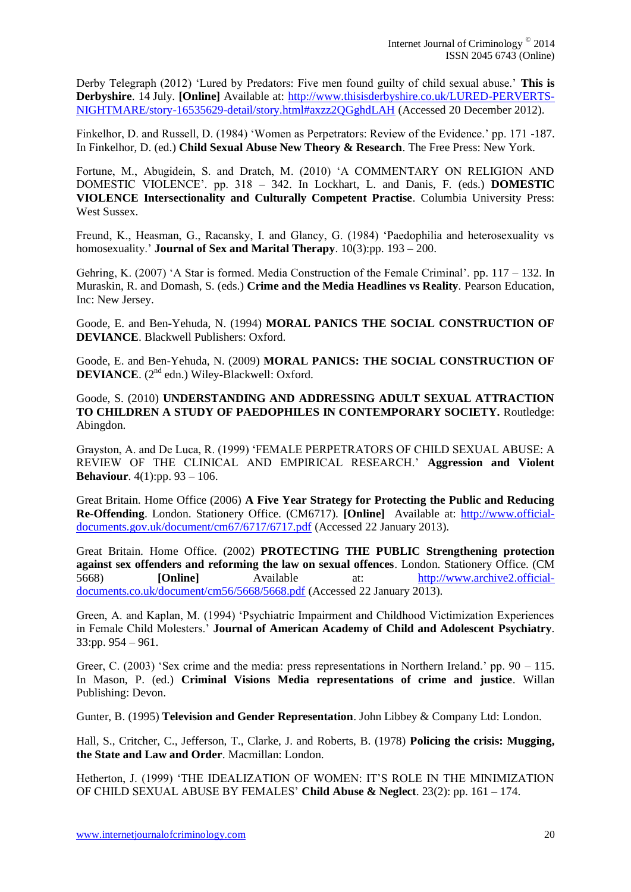Derby Telegraph (2012) 'Lured by Predators: Five men found guilty of child sexual abuse.' **This is Derbyshire**. 14 July. **[Online]** Available at: [http://www.thisisderbyshire.co.uk/LURED-PERVERTS-](http://www.thisisderbyshire.co.uk/LURED-PERVERTS-NIGHTMARE/story-16535629-detail/story.html#axzz2QGghdLAH)[NIGHTMARE/story-16535629-detail/story.html#axzz2QGghdLAH](http://www.thisisderbyshire.co.uk/LURED-PERVERTS-NIGHTMARE/story-16535629-detail/story.html#axzz2QGghdLAH) (Accessed 20 December 2012).

Finkelhor, D. and Russell, D. (1984) 'Women as Perpetrators: Review of the Evidence.' pp. 171 -187. In Finkelhor, D. (ed.) **Child Sexual Abuse New Theory & Research**. The Free Press: New York.

Fortune, M., Abugidein, S. and Dratch, M. (2010) 'A COMMENTARY ON RELIGION AND DOMESTIC VIOLENCE'. pp. 318 – 342. In Lockhart, L. and Danis, F. (eds.) **DOMESTIC VIOLENCE Intersectionality and Culturally Competent Practise**. Columbia University Press: West Sussex.

Freund, K., Heasman, G., Racansky, I. and Glancy, G. (1984) 'Paedophilia and heterosexuality vs homosexuality.' **Journal of Sex and Marital Therapy**. 10(3):pp. 193 – 200.

Gehring, K. (2007) 'A Star is formed. Media Construction of the Female Criminal'. pp. 117 – 132. In Muraskin, R. and Domash, S. (eds.) **Crime and the Media Headlines vs Reality**. Pearson Education, Inc: New Jersey.

Goode, E. and Ben-Yehuda, N. (1994) **MORAL PANICS THE SOCIAL CONSTRUCTION OF DEVIANCE**. Blackwell Publishers: Oxford.

Goode, E. and Ben-Yehuda, N. (2009) **MORAL PANICS: THE SOCIAL CONSTRUCTION OF DEVIANCE**. (2<sup>nd</sup> edn.) Wiley-Blackwell: Oxford.

Goode, S. (2010) **UNDERSTANDING AND ADDRESSING ADULT SEXUAL ATTRACTION TO CHILDREN A STUDY OF PAEDOPHILES IN CONTEMPORARY SOCIETY.** Routledge: Abingdon.

Grayston, A. and De Luca, R. (1999) 'FEMALE PERPETRATORS OF CHILD SEXUAL ABUSE: A REVIEW OF THE CLINICAL AND EMPIRICAL RESEARCH.' **Aggression and Violent Behaviour**. 4(1):pp. 93 – 106.

Great Britain. Home Office (2006) **A Five Year Strategy for Protecting the Public and Reducing Re-Offending**. London. Stationery Office. (CM6717). **[Online]** Available at: [http://www.official](http://www.official-documents.gov.uk/document/cm67/6717/6717.pdf)[documents.gov.uk/document/cm67/6717/6717.pdf](http://www.official-documents.gov.uk/document/cm67/6717/6717.pdf) (Accessed 22 January 2013).

Great Britain. Home Office. (2002) **PROTECTING THE PUBLIC Strengthening protection against sex offenders and reforming the law on sexual offences**. London. Stationery Office. (CM<br>5668) [Online] Available at: http://www.archive2.official[Online] Available at: [http://www.archive2.official](http://www.archive2.official-documents.co.uk/document/cm56/5668/5668.pdf)[documents.co.uk/document/cm56/5668/5668.pdf](http://www.archive2.official-documents.co.uk/document/cm56/5668/5668.pdf) (Accessed 22 January 2013).

Green, A. and Kaplan, M. (1994) 'Psychiatric Impairment and Childhood Victimization Experiences in Female Child Molesters.' **Journal of American Academy of Child and Adolescent Psychiatry**. 33:pp. 954 – 961.

Greer, C. (2003) 'Sex crime and the media: press representations in Northern Ireland.' pp. 90 – 115. In Mason, P. (ed.) **Criminal Visions Media representations of crime and justice**. Willan Publishing: Devon.

Gunter, B. (1995) **Television and Gender Representation**. John Libbey & Company Ltd: London.

Hall, S., Critcher, C., Jefferson, T., Clarke, J. and Roberts, B. (1978) **Policing the crisis: Mugging, the State and Law and Order**. Macmillan: London.

Hetherton, J. (1999) 'THE IDEALIZATION OF WOMEN: IT'S ROLE IN THE MINIMIZATION OF CHILD SEXUAL ABUSE BY FEMALES' **Child Abuse & Neglect**. 23(2): pp. 161 – 174.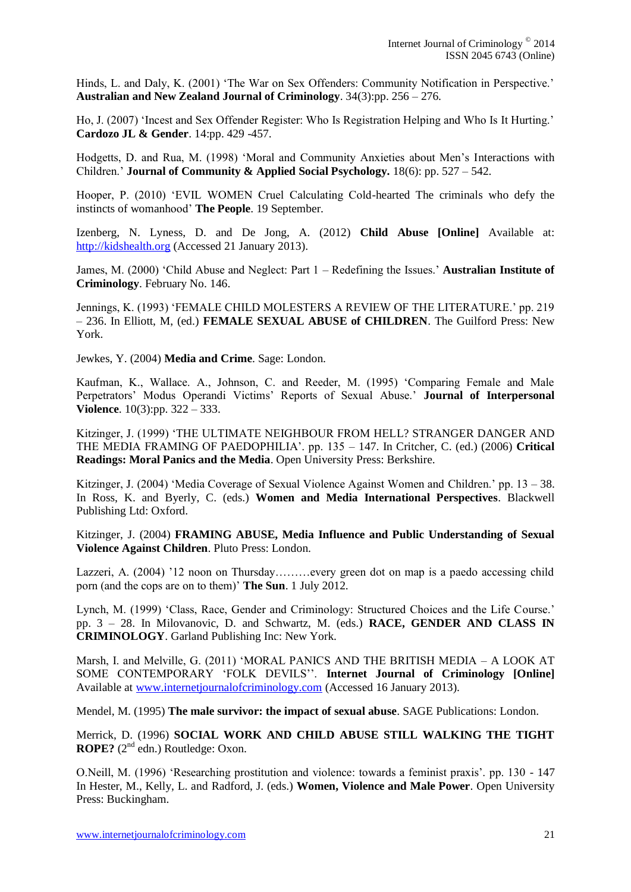Hinds, L. and Daly, K. (2001) 'The War on Sex Offenders: Community Notification in Perspective.' **Australian and New Zealand Journal of Criminology**. 34(3):pp. 256 – 276.

Ho, J. (2007) 'Incest and Sex Offender Register: Who Is Registration Helping and Who Is It Hurting.' **Cardozo JL & Gender**. 14:pp. 429 -457.

Hodgetts, D. and Rua, M. (1998) 'Moral and Community Anxieties about Men's Interactions with Children.' **Journal of Community & Applied Social Psychology.** 18(6): pp. 527 – 542.

Hooper, P. (2010) 'EVIL WOMEN Cruel Calculating Cold-hearted The criminals who defy the instincts of womanhood' **The People**. 19 September.

Izenberg, N. Lyness, D. and De Jong, A. (2012) **Child Abuse [Online]** Available at: [http://kidshealth.org](http://kidshealth.org/) (Accessed 21 January 2013).

James, M. (2000) 'Child Abuse and Neglect: Part 1 – Redefining the Issues.' **Australian Institute of Criminology**. February No. 146.

Jennings, K. (1993) 'FEMALE CHILD MOLESTERS A REVIEW OF THE LITERATURE.' pp. 219 – 236. In Elliott, M, (ed.) **FEMALE SEXUAL ABUSE of CHILDREN**. The Guilford Press: New York.

Jewkes, Y. (2004) **Media and Crime**. Sage: London.

Kaufman, K., Wallace. A., Johnson, C. and Reeder, M. (1995) 'Comparing Female and Male Perpetrators' Modus Operandi Victims' Reports of Sexual Abuse.' **Journal of Interpersonal Violence**. 10(3):pp. 322 – 333.

Kitzinger, J. (1999) 'THE ULTIMATE NEIGHBOUR FROM HELL? STRANGER DANGER AND THE MEDIA FRAMING OF PAEDOPHILIA'. pp. 135 – 147. In Critcher, C. (ed.) (2006) **Critical Readings: Moral Panics and the Media**. Open University Press: Berkshire.

Kitzinger, J. (2004) 'Media Coverage of Sexual Violence Against Women and Children.' pp. 13 – 38. In Ross, K. and Byerly, C. (eds.) **Women and Media International Perspectives**. Blackwell Publishing Ltd: Oxford.

Kitzinger, J. (2004) **FRAMING ABUSE, Media Influence and Public Understanding of Sexual Violence Against Children**. Pluto Press: London.

Lazzeri, A. (2004) '12 noon on Thursday………every green dot on map is a paedo accessing child porn (and the cops are on to them)' **The Sun**. 1 July 2012.

Lynch, M. (1999) 'Class, Race, Gender and Criminology: Structured Choices and the Life Course.' pp. 3 – 28. In Milovanovic, D. and Schwartz, M. (eds.) **RACE, GENDER AND CLASS IN CRIMINOLOGY**. Garland Publishing Inc: New York.

Marsh, I. and Melville, G. (2011) 'MORAL PANICS AND THE BRITISH MEDIA – A LOOK AT SOME CONTEMPORARY 'FOLK DEVILS''. **Internet Journal of Criminology [Online]** Available at [www.internetjournalofcriminology.com](http://www.internetjournalofcriminology.com/) (Accessed 16 January 2013).

Mendel, M. (1995) **The male survivor: the impact of sexual abuse**. SAGE Publications: London.

Merrick, D. (1996) **SOCIAL WORK AND CHILD ABUSE STILL WALKING THE TIGHT ROPE?** (2<sup>nd</sup> edn.) Routledge: Oxon.

O.Neill, M. (1996) 'Researching prostitution and violence: towards a feminist praxis'. pp. 130 - 147 In Hester, M., Kelly, L. and Radford, J. (eds.) **Women, Violence and Male Power**. Open University Press: Buckingham.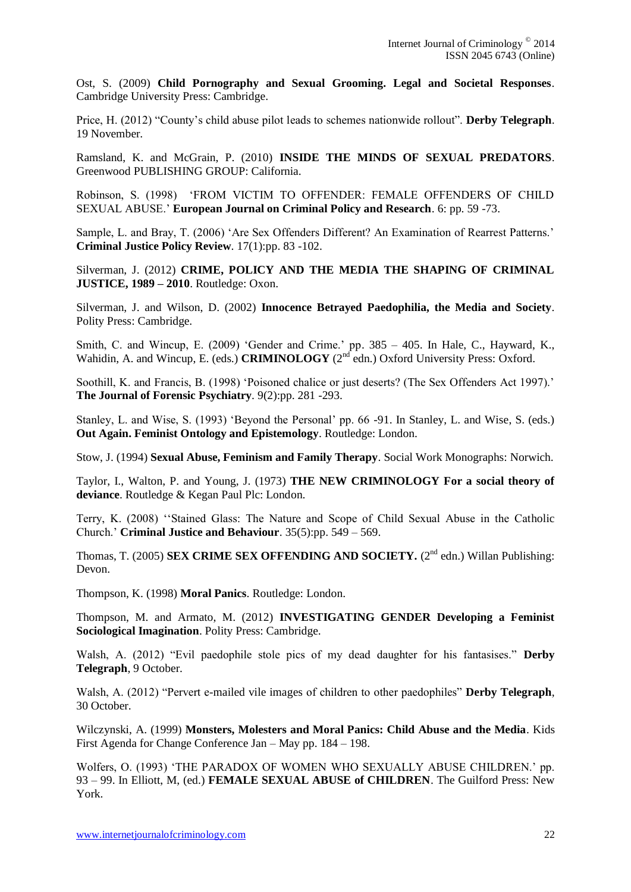Ost, S. (2009) **Child Pornography and Sexual Grooming. Legal and Societal Responses**. Cambridge University Press: Cambridge.

Price, H. (2012) "County's child abuse pilot leads to schemes nationwide rollout". **Derby Telegraph**. 19 November.

Ramsland, K. and McGrain, P. (2010) **INSIDE THE MINDS OF SEXUAL PREDATORS**. Greenwood PUBLISHING GROUP: California.

Robinson, S. (1998) 'FROM VICTIM TO OFFENDER: FEMALE OFFENDERS OF CHILD SEXUAL ABUSE.' **European Journal on Criminal Policy and Research**. 6: pp. 59 -73.

Sample, L. and Bray, T. (2006) 'Are Sex Offenders Different? An Examination of Rearrest Patterns.' **Criminal Justice Policy Review**. 17(1):pp. 83 -102.

Silverman, J. (2012) **CRIME, POLICY AND THE MEDIA THE SHAPING OF CRIMINAL JUSTICE, 1989 – 2010**. Routledge: Oxon.

Silverman, J. and Wilson, D. (2002) **Innocence Betrayed Paedophilia, the Media and Society**. Polity Press: Cambridge.

Smith, C. and Wincup, E. (2009) 'Gender and Crime.' pp. 385 – 405. In Hale, C., Hayward, K., Wahidin, A. and Wincup, E. (eds.) **CRIMINOLOGY** (2<sup>nd</sup> edn.) Oxford University Press: Oxford.

Soothill, K. and Francis, B. (1998) 'Poisoned chalice or just deserts? (The Sex Offenders Act 1997).' **The Journal of Forensic Psychiatry**. 9(2):pp. 281 -293.

Stanley, L. and Wise, S. (1993) 'Beyond the Personal' pp. 66 -91. In Stanley, L. and Wise, S. (eds.) **Out Again. Feminist Ontology and Epistemology**. Routledge: London.

Stow, J. (1994) **Sexual Abuse, Feminism and Family Therapy**. Social Work Monographs: Norwich.

Taylor, I., Walton, P. and Young, J. (1973) **THE NEW CRIMINOLOGY For a social theory of deviance**. Routledge & Kegan Paul Plc: London.

Terry, K. (2008) ''Stained Glass: The Nature and Scope of Child Sexual Abuse in the Catholic Church.' **Criminal Justice and Behaviour**. 35(5):pp. 549 – 569.

Thomas, T. (2005) **SEX CRIME SEX OFFENDING AND SOCIETY.** (2<sup>nd</sup> edn.) Willan Publishing: Devon.

Thompson, K. (1998) **Moral Panics**. Routledge: London.

Thompson, M. and Armato, M. (2012) **INVESTIGATING GENDER Developing a Feminist Sociological Imagination**. Polity Press: Cambridge.

Walsh, A. (2012) "Evil paedophile stole pics of my dead daughter for his fantasises." **Derby Telegraph**, 9 October.

Walsh, A. (2012) "Pervert e-mailed vile images of children to other paedophiles" **Derby Telegraph**, 30 October.

Wilczynski, A. (1999) **Monsters, Molesters and Moral Panics: Child Abuse and the Media**. Kids First Agenda for Change Conference Jan – May pp. 184 – 198.

Wolfers, O. (1993) 'THE PARADOX OF WOMEN WHO SEXUALLY ABUSE CHILDREN.' pp. 93 – 99. In Elliott, M, (ed.) **FEMALE SEXUAL ABUSE of CHILDREN**. The Guilford Press: New York.